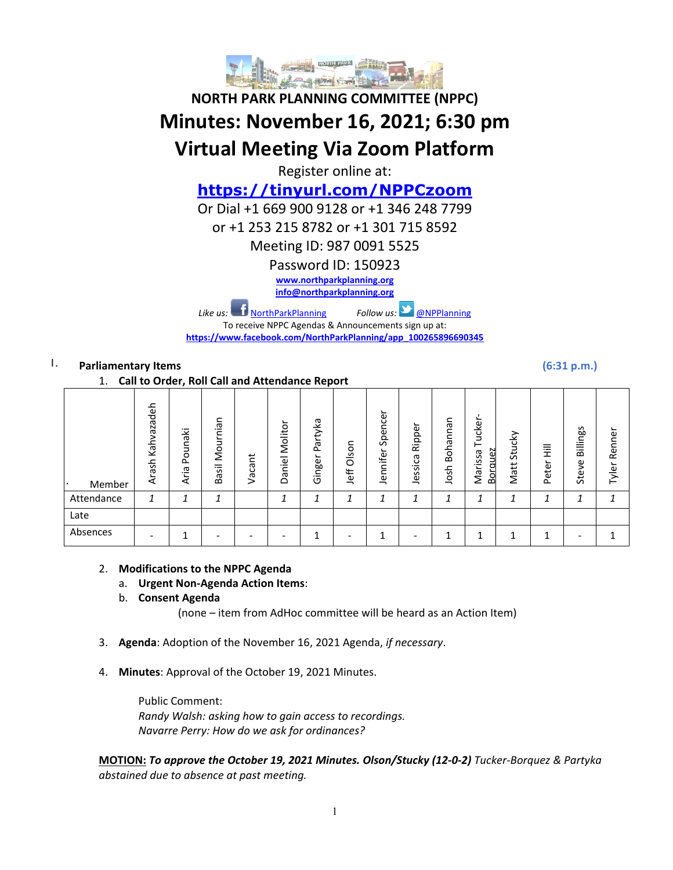

# **NORTH PARK PLANNING COMMITTEE (NPPC) Minutes: November 16, 2021; 6:30 pm Virtual Meeting Via Zoom Platform**

Register online at:

# **https://tinyurl.com/NPPCzoom**

Or Dial +1 669 900 9128 or +1 346 248 7799

or +1 253 215 8782 or +1 301 715 8592

Meeting ID: 987 0091 5525

Password ID: 150923

**www.northparkplanning.org**

**info@northparkplanning.org**

*Like us:* NorthParkPlanning *Follow us:* @NPPlanning

To receive NPPC Agendas & Announcements sign up at: **https://www.facebook.com/NorthParkPlanning/app\_100265896690345**

# I. **Parliamentary Items (6:31 p.m.)**

1. **Call to Order, Roll Call and Attendance Report**

| --<br>can to order, non can and rittenaance neport |                     |                 |                                                             |            |                           |                        |               |                     |                   |                         |                                          |                |             |                   |                      |
|----------------------------------------------------|---------------------|-----------------|-------------------------------------------------------------|------------|---------------------------|------------------------|---------------|---------------------|-------------------|-------------------------|------------------------------------------|----------------|-------------|-------------------|----------------------|
| Member<br>٠.                                       | Kahvazadeh<br>Arash | Pounaki<br>Aria | Mournian<br>$\overline{\overline{\overline{6}}}$<br>.<br>Bã | cant<br>قر | ∽<br>Molitor<br>iel<br>යි | Partyka<br>∽<br>Ginger | Olson<br>Jeff | Spencer<br>Jennifer | Ripper<br>Jessica | Bohannan<br>ᇰ<br>S<br>g | ∽<br>ucker<br>orguez<br>ssa<br>Mari<br>മ | Stucky<br>Matt | 目玉<br>Peter | Billings<br>Steve | ┶<br>Renner<br>Tyler |
| Attendance                                         | 1                   | ┓               | 1                                                           |            |                           |                        | 1             | 1                   | ◢                 |                         | 1                                        | 1              | 1           |                   | 1                    |
| Late                                               |                     |                 |                                                             |            |                           |                        |               |                     |                   |                         |                                          |                |             |                   |                      |
| Absences                                           |                     | ٠               |                                                             |            |                           | и                      |               | ◢                   |                   |                         |                                          | и              | ◢           |                   |                      |

# 2. **Modifications to the NPPC Agenda**

- a. **Urgent Non-Agenda Action Items**:
- b. **Consent Agenda**

(none – item from AdHoc committee will be heard as an Action Item)

- 3. **Agenda**: Adoption of the November 16, 2021 Agenda, *if necessary*.
- 4. **Minutes**: Approval of the October 19, 2021 Minutes.

Public Comment: *Randy Walsh: asking how to gain access to recordings. Navarre Perry: How do we ask for ordinances?*

**MOTION:** *To approve the October 19, 2021 Minutes. Olson/Stucky (12-0-2) Tucker-Borquez & Partyka abstained due to absence at past meeting.*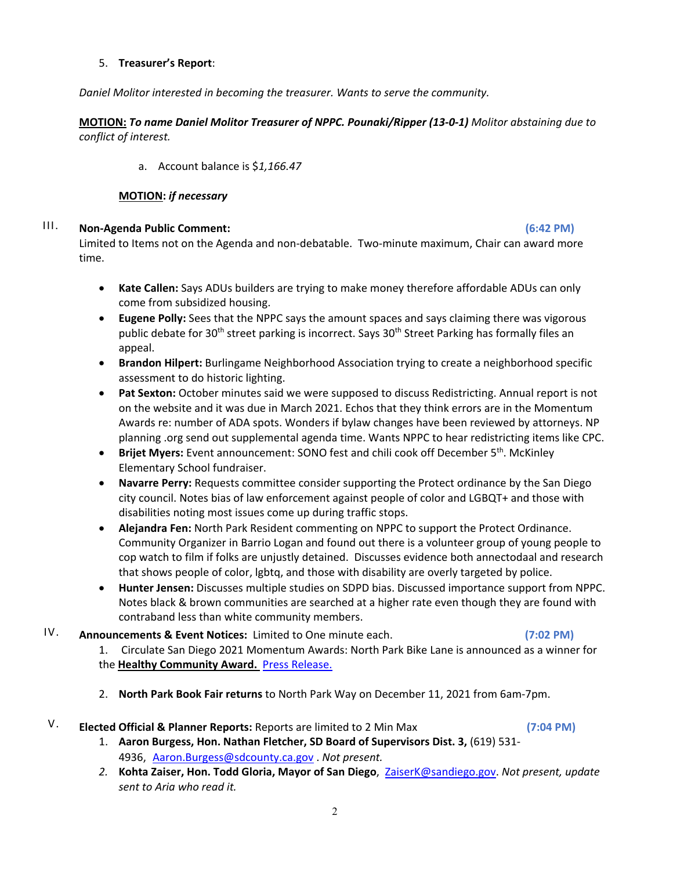#### 5. **Treasurer's Report**:

*Daniel Molitor interested in becoming the treasurer. Wants to serve the community.*

**MOTION:** *To name Daniel Molitor Treasurer of NPPC. Pounaki/Ripper (13-0-1) Molitor abstaining due to conflict of interest.* 

a. Account balance is \$*1,166.47*

#### **MOTION:** *if necessary*

# III. **Non-Agenda Public Comment: (6:42 PM)**

Limited to Items not on the Agenda and non-debatable. Two-minute maximum, Chair can award more time.

- **Kate Callen:** Says ADUs builders are trying to make money therefore affordable ADUs can only come from subsidized housing.
- **Eugene Polly:** Sees that the NPPC says the amount spaces and says claiming there was vigorous public debate for 30<sup>th</sup> street parking is incorrect. Says 30<sup>th</sup> Street Parking has formally files an appeal.
- **Brandon Hilpert:** Burlingame Neighborhood Association trying to create a neighborhood specific assessment to do historic lighting.
- **Pat Sexton:** October minutes said we were supposed to discuss Redistricting. Annual report is not on the website and it was due in March 2021. Echos that they think errors are in the Momentum Awards re: number of ADA spots. Wonders if bylaw changes have been reviewed by attorneys. NP planning .org send out supplemental agenda time. Wants NPPC to hear redistricting items like CPC.
- **Brijet Myers:** Event announcement: SONO fest and chili cook off December 5th. McKinley Elementary School fundraiser.
- **Navarre Perry:** Requests committee consider supporting the Protect ordinance by the San Diego city council. Notes bias of law enforcement against people of color and LGBQT+ and those with disabilities noting most issues come up during traffic stops.
- **Alejandra Fen:** North Park Resident commenting on NPPC to support the Protect Ordinance. Community Organizer in Barrio Logan and found out there is a volunteer group of young people to cop watch to film if folks are unjustly detained. Discusses evidence both annectodaal and research that shows people of color, lgbtq, and those with disability are overly targeted by police.
- **Hunter Jensen:** Discusses multiple studies on SDPD bias. Discussed importance support from NPPC. Notes black & brown communities are searched at a higher rate even though they are found with contraband less than white community members.
- IV. **Announcements & Event Notices:** Limited to One minute each. **(7:02 PM)**

- 1. Circulate San Diego 2021 Momentum Awards: North Park Bike Lane is announced as a winner for the **Healthy Community Award.** Press Release.
- 2. **North Park Book Fair returns** to North Park Way on December 11, 2021 from 6am-7pm.

# V. **Elected Official & Planner Reports:** Reports are limited to 2 Min Max **(7:04 PM)**

1. **Aaron Burgess, Hon. Nathan Fletcher, SD Board of Supervisors Dist. 3,** (619) 531- 4936, Aaron.Burgess@sdcounty.ca.gov . *Not present.*

*2.* **Kohta Zaiser, Hon. Todd Gloria, Mayor of San Diego**, ZaiserK@sandiego.gov. *Not present, update sent to Aria who read it.*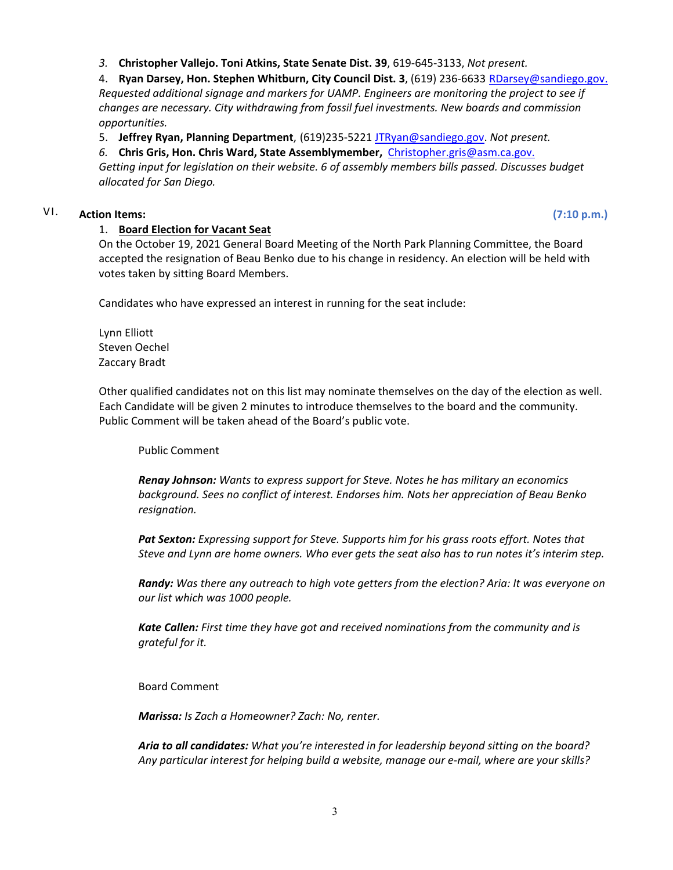*3.* **Christopher Vallejo. Toni Atkins, State Senate Dist. 39**, 619-645-3133, *Not present.*

4. **Ryan Darsey, Hon. Stephen Whitburn, City Council Dist. 3**, (619) 236-6633 RDarsey@sandiego.gov. *Requested additional signage and markers for UAMP. Engineers are monitoring the project to see if changes are necessary. City withdrawing from fossil fuel investments. New boards and commission opportunities.*

5. **Jeffrey Ryan, Planning Department**, (619)235-5221 JTRyan@sandiego.gov. *Not present.*

*6.* **Chris Gris, Hon. Chris Ward, State Assemblymember,** Christopher.gris@asm.ca.gov.

*Getting input for legislation on their website. 6 of assembly members bills passed. Discusses budget allocated for San Diego.*

# VI. **Action Items: (7:10 p.m.)**

#### 1. **Board Election for Vacant Seat**

On the October 19, 2021 General Board Meeting of the North Park Planning Committee, the Board accepted the resignation of Beau Benko due to his change in residency. An election will be held with votes taken by sitting Board Members.

Candidates who have expressed an interest in running for the seat include:

Lynn Elliott Steven Oechel Zaccary Bradt

Other qualified candidates not on this list may nominate themselves on the day of the election as well. Each Candidate will be given 2 minutes to introduce themselves to the board and the community. Public Comment will be taken ahead of the Board's public vote.

Public Comment

*Renay Johnson: Wants to express support for Steve. Notes he has military an economics background. Sees no conflict of interest. Endorses him. Nots her appreciation of Beau Benko resignation.* 

*Pat Sexton: Expressing support for Steve. Supports him for his grass roots effort. Notes that Steve and Lynn are home owners. Who ever gets the seat also has to run notes it's interim step.*

*Randy: Was there any outreach to high vote getters from the election? Aria: It was everyone on our list which was 1000 people.*

*Kate Callen: First time they have got and received nominations from the community and is grateful for it.* 

Board Comment

*Marissa: Is Zach a Homeowner? Zach: No, renter.*

*Aria to all candidates: What you're interested in for leadership beyond sitting on the board? Any particular interest for helping build a website, manage our e-mail, where are your skills?*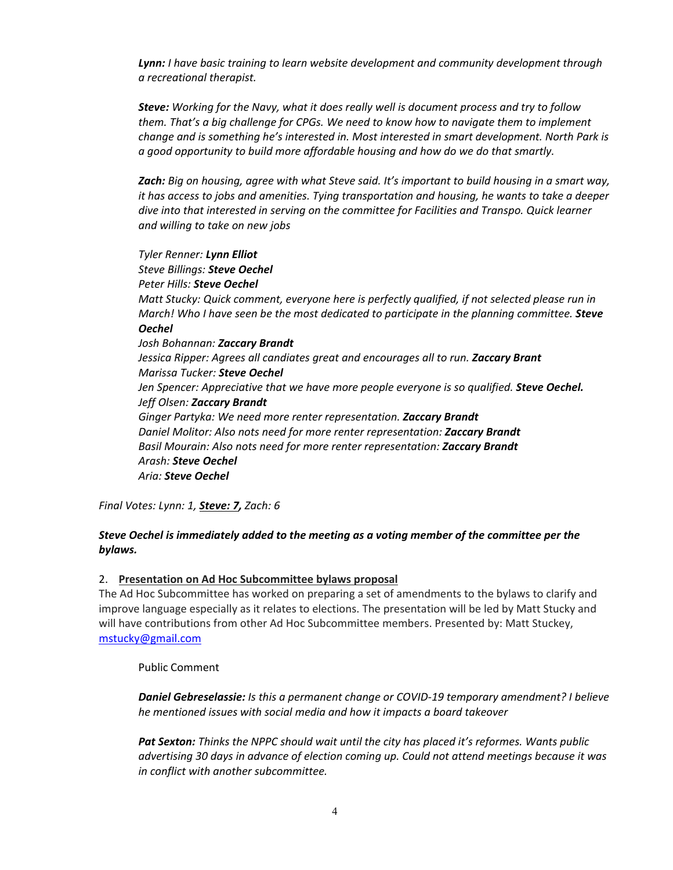*Lynn: I have basic training to learn website development and community development through a recreational therapist.* 

*Steve: Working for the Navy, what it does really well is document process and try to follow them. That's a big challenge for CPGs. We need to know how to navigate them to implement change and is something he's interested in. Most interested in smart development. North Park is a good opportunity to build more affordable housing and how do we do that smartly.* 

*Zach: Big on housing, agree with what Steve said. It's important to build housing in a smart way, it has access to jobs and amenities. Tying transportation and housing, he wants to take a deeper dive into that interested in serving on the committee for Facilities and Transpo. Quick learner and willing to take on new jobs*

*Tyler Renner: Lynn Elliot Steve Billings: Steve Oechel Peter Hills: Steve Oechel Matt Stucky: Quick comment, everyone here is perfectly qualified, if not selected please run in March! Who I have seen be the most dedicated to participate in the planning committee. Steve Oechel Josh Bohannan: Zaccary Brandt Jessica Ripper: Agrees all candiates great and encourages all to run. Zaccary Brant Marissa Tucker: Steve Oechel Jen Spencer: Appreciative that we have more people everyone is so qualified. Steve Oechel. Jeff Olsen: Zaccary Brandt Ginger Partyka: We need more renter representation. Zaccary Brandt Daniel Molitor: Also nots need for more renter representation: Zaccary Brandt Basil Mourain: Also nots need for more renter representation: Zaccary Brandt Arash: Steve Oechel Aria: Steve Oechel*

*Final Votes: Lynn: 1, Steve: 7, Zach: 6*

#### *Steve Oechel is immediately added to the meeting as a voting member of the committee per the bylaws.*

#### 2. **Presentation on Ad Hoc Subcommittee bylaws proposal**

The Ad Hoc Subcommittee has worked on preparing a set of amendments to the bylaws to clarify and improve language especially as it relates to elections. The presentation will be led by Matt Stucky and will have contributions from other Ad Hoc Subcommittee members. Presented by: Matt Stuckey, mstucky@gmail.com

Public Comment

*Daniel Gebreselassie: Is this a permanent change or COVID-19 temporary amendment? I believe he mentioned issues with social media and how it impacts a board takeover*

*Pat Sexton: Thinks the NPPC should wait until the city has placed it's reformes. Wants public advertising 30 days in advance of election coming up. Could not attend meetings because it was in conflict with another subcommittee.*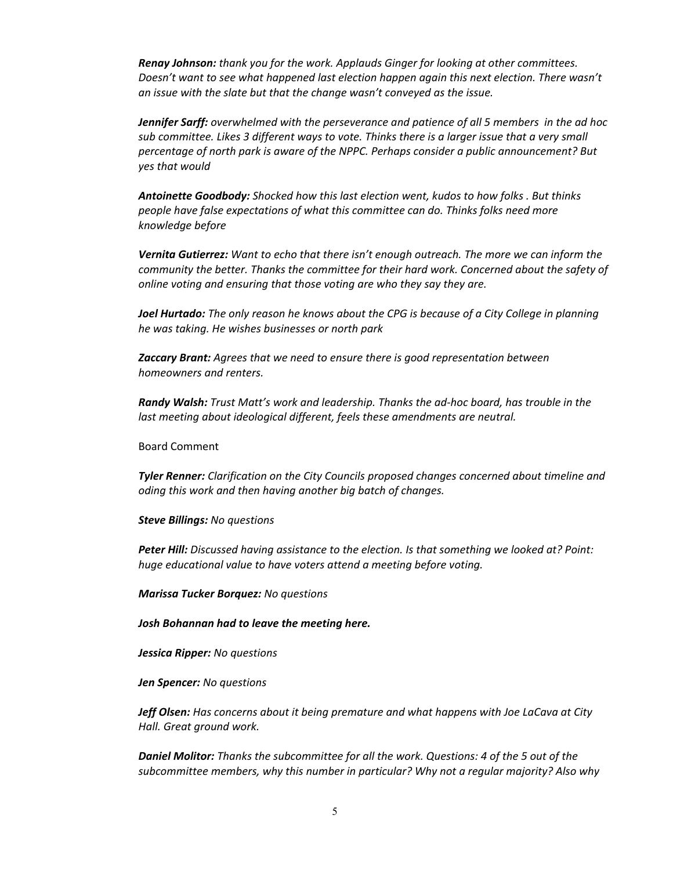*Renay Johnson: thank you for the work. Applauds Ginger for looking at other committees. Doesn't want to see what happened last election happen again this next election. There wasn't an issue with the slate but that the change wasn't conveyed as the issue.*

*Jennifer Sarff: overwhelmed with the perseverance and patience of all 5 members in the ad hoc sub committee. Likes 3 different ways to vote. Thinks there is a larger issue that a very small percentage of north park is aware of the NPPC. Perhaps consider a public announcement? But yes that would* 

*Antoinette Goodbody: Shocked how this last election went, kudos to how folks . But thinks people have false expectations of what this committee can do. Thinks folks need more knowledge before* 

*Vernita Gutierrez: Want to echo that there isn't enough outreach. The more we can inform the community the better. Thanks the committee for their hard work. Concerned about the safety of online voting and ensuring that those voting are who they say they are.* 

*Joel Hurtado: The only reason he knows about the CPG is because of a City College in planning he was taking. He wishes businesses or north park* 

*Zaccary Brant: Agrees that we need to ensure there is good representation between homeowners and renters.* 

*Randy Walsh: Trust Matt's work and leadership. Thanks the ad-hoc board, has trouble in the last meeting about ideological different, feels these amendments are neutral.* 

Board Comment

*Tyler Renner: Clarification on the City Councils proposed changes concerned about timeline and oding this work and then having another big batch of changes.*

*Steve Billings: No questions*

*Peter Hill: Discussed having assistance to the election. Is that something we looked at? Point: huge educational value to have voters attend a meeting before voting.* 

*Marissa Tucker Borquez: No questions*

*Josh Bohannan had to leave the meeting here.* 

*Jessica Ripper: No questions*

*Jen Spencer: No questions*

*Jeff Olsen: Has concerns about it being premature and what happens with Joe LaCava at City Hall. Great ground work.*

*Daniel Molitor: Thanks the subcommittee for all the work. Questions: 4 of the 5 out of the subcommittee members, why this number in particular? Why not a regular majority? Also why*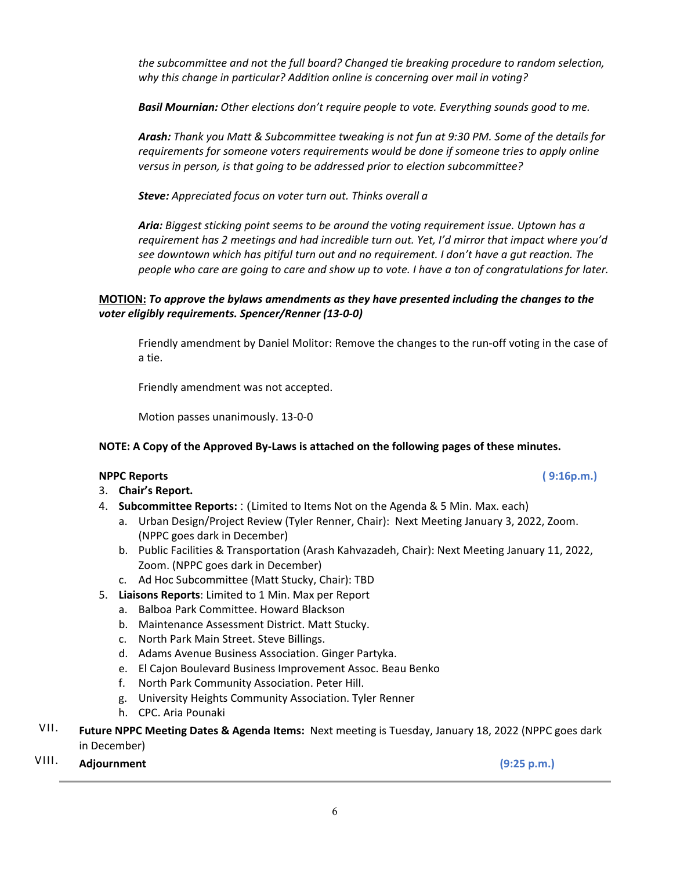*the subcommittee and not the full board? Changed tie breaking procedure to random selection, why this change in particular? Addition online is concerning over mail in voting?* 

*Basil Mournian: Other elections don't require people to vote. Everything sounds good to me.*

*Arash: Thank you Matt & Subcommittee tweaking is not fun at 9:30 PM. Some of the details for requirements for someone voters requirements would be done if someone tries to apply online versus in person, is that going to be addressed prior to election subcommittee?*

*Steve: Appreciated focus on voter turn out. Thinks overall a* 

*Aria: Biggest sticking point seems to be around the voting requirement issue. Uptown has a requirement has 2 meetings and had incredible turn out. Yet, I'd mirror that impact where you'd see downtown which has pitiful turn out and no requirement. I don't have a gut reaction. The people who care are going to care and show up to vote. I have a ton of congratulations for later.* 

### **MOTION:** *To approve the bylaws amendments as they have presented including the changes to the voter eligibly requirements. Spencer/Renner (13-0-0)*

Friendly amendment by Daniel Molitor: Remove the changes to the run-off voting in the case of a tie.

Friendly amendment was not accepted.

Motion passes unanimously. 13-0-0

# **NOTE: A Copy of the Approved By-Laws is attached on the following pages of these minutes.**

#### **NPPC Reports ( 9:16p.m.)**

- 3. **Chair's Report.**
- 4. **Subcommittee Reports:** : (Limited to Items Not on the Agenda & 5 Min. Max. each)
	- a. Urban Design/Project Review (Tyler Renner, Chair): Next Meeting January 3, 2022, Zoom. (NPPC goes dark in December)
	- b. Public Facilities & Transportation (Arash Kahvazadeh, Chair): Next Meeting January 11, 2022, Zoom. (NPPC goes dark in December)
	- c. Ad Hoc Subcommittee (Matt Stucky, Chair): TBD
- 5. **Liaisons Reports**: Limited to 1 Min. Max per Report
	- a. Balboa Park Committee. Howard Blackson
	- b. Maintenance Assessment District. Matt Stucky.
	- c. North Park Main Street. Steve Billings.
	- d. Adams Avenue Business Association. Ginger Partyka.
	- e. El Cajon Boulevard Business Improvement Assoc. Beau Benko
	- f. North Park Community Association. Peter Hill.
	- g. University Heights Community Association. Tyler Renner
	- h. CPC. Aria Pounaki
- VII. **Future NPPC Meeting Dates & Agenda Items:** Next meeting is Tuesday, January 18, 2022 (NPPC goes dark in December)
- VIII. **Adjournment (9:25 p.m.)**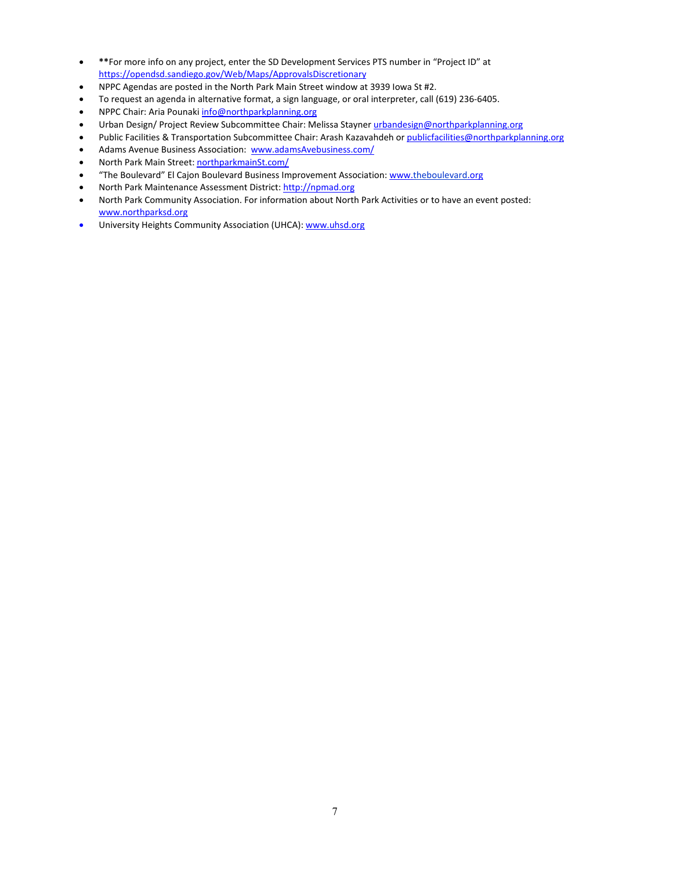- **\*\***For more info on any project, enter the SD Development Services PTS number in "Project ID" at https://opendsd.sandiego.gov/Web/Maps/ApprovalsDiscretionary
- NPPC Agendas are posted in the North Park Main Street window at 3939 Iowa St #2.
- To request an agenda in alternative format, a sign language, or oral interpreter, call (619) 236-6405.
- NPPC Chair: Aria Pounaki info@northparkplanning.org
- Urban Design/ Project Review Subcommittee Chair: Melissa Stayner urbandesign@northparkplanning.org
- Public Facilities & Transportation Subcommittee Chair: Arash Kazavahdeh or publicfacilities@northparkplanning.org
- Adams Avenue Business Association: www.adamsAvebusiness.com/
- North Park Main Street: northparkmainSt.com/
- "The Boulevard" El Cajon Boulevard Business Improvement Association: www.theboulevard.org
- North Park Maintenance Assessment District: http://npmad.org
- North Park Community Association. For information about North Park Activities or to have an event posted: www.northparksd.org
- University Heights Community Association (UHCA): www.uhsd.org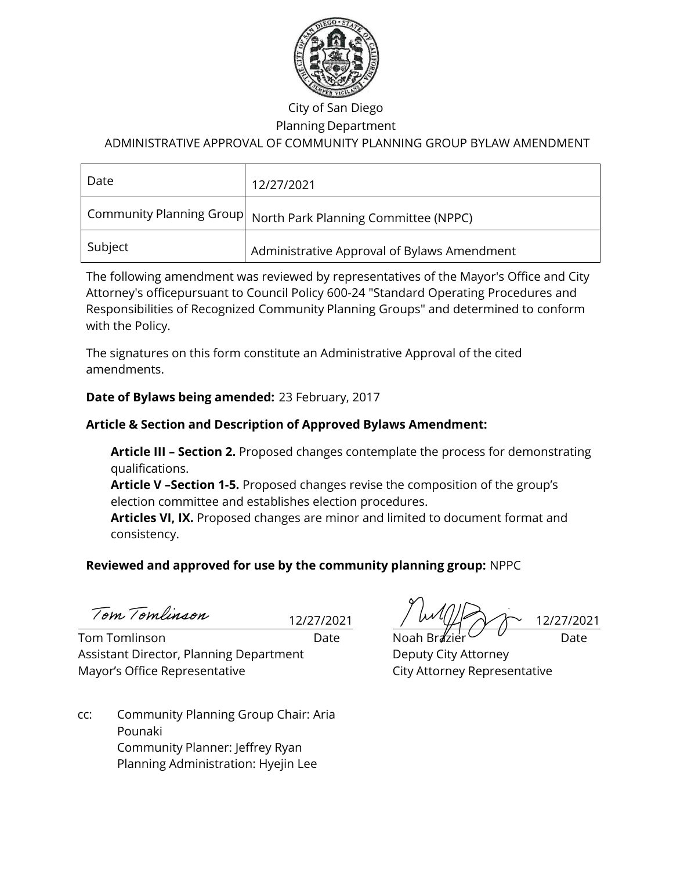

# City of San Diego

# Planning Department

# ADMINISTRATIVE APPROVAL OF COMMUNITY PLANNING GROUP BYLAW AMENDMENT

| Date    | 12/27/2021                                                        |
|---------|-------------------------------------------------------------------|
|         | Community Planning Group $ $ North Park Planning Committee (NPPC) |
| Subject | Administrative Approval of Bylaws Amendment                       |

The following amendment was reviewed by representatives of the Mayor's Office and City Attorney's officepursuant to Council Policy 600-24 "Standard Operating Procedures and Responsibilities of Recognized Community Planning Groups" and determined to conform with the Policy.

The signatures on this form constitute an Administrative Approval of the cited amendments.

# **Date of Bylaws being amended:** 23 February, 2017

# **Article & Section and Description of Approved Bylaws Amendment:**

**Article III – Section 2.** Proposed changes contemplate the process for demonstrating qualifications.

**Article V –Section 1-5.** Proposed changes revise the composition of the group's election committee and establishes election procedures.

**Articles VI, IX.** Proposed changes are minor and limited to document format and consistency.

# **Reviewed and approved for use by the community planning group:** NPPC

Tom Tomlinson

Tom Tomlinson Date Noah Brazier Date Assistant Director, Planning Department Deputy City Attorney Mayor's Office Representative **City Attorney Representative** 

 $12/27/2021$  /  $W^{\mu}$   $W^{\mu}$  /  $W^{\nu}$  12/27/2021

cc: Community Planning Group Chair: Aria Pounaki Community Planner: Jeffrey Ryan Planning Administration: Hyejin Lee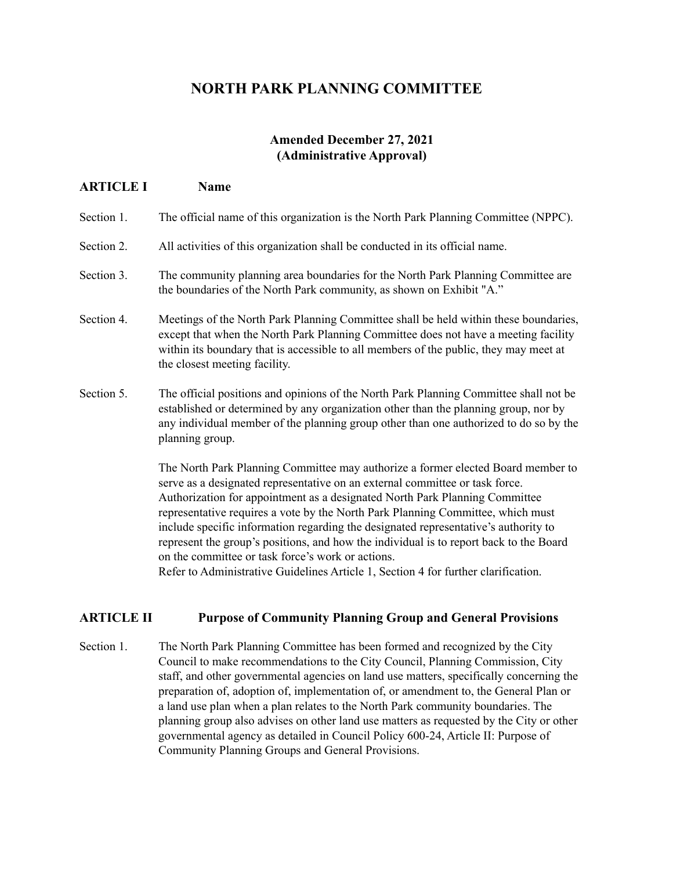# **NORTH PARK PLANNING COMMITTEE**

# **Amended December 27, 2021 (Administrative Approval)**

| <b>ARTICLE I</b> | Name                                                                                                                                                                                                                                                                                                                                                                                                                                                                                                                |
|------------------|---------------------------------------------------------------------------------------------------------------------------------------------------------------------------------------------------------------------------------------------------------------------------------------------------------------------------------------------------------------------------------------------------------------------------------------------------------------------------------------------------------------------|
| Section 1.       | The official name of this organization is the North Park Planning Committee (NPPC).                                                                                                                                                                                                                                                                                                                                                                                                                                 |
| Section 2.       | All activities of this organization shall be conducted in its official name.                                                                                                                                                                                                                                                                                                                                                                                                                                        |
| Section 3.       | The community planning area boundaries for the North Park Planning Committee are<br>the boundaries of the North Park community, as shown on Exhibit "A."                                                                                                                                                                                                                                                                                                                                                            |
| Section 4.       | Meetings of the North Park Planning Committee shall be held within these boundaries,<br>except that when the North Park Planning Committee does not have a meeting facility<br>within its boundary that is accessible to all members of the public, they may meet at<br>the closest meeting facility.                                                                                                                                                                                                               |
| Section 5.       | The official positions and opinions of the North Park Planning Committee shall not be<br>established or determined by any organization other than the planning group, nor by<br>any individual member of the planning group other than one authorized to do so by the<br>planning group.                                                                                                                                                                                                                            |
|                  | The North Park Planning Committee may authorize a former elected Board member to<br>serve as a designated representative on an external committee or task force.<br>Authorization for appointment as a designated North Park Planning Committee<br>representative requires a vote by the North Park Planning Committee, which must<br>include specific information regarding the designated representative's authority to<br>represent the group's positions, and how the individual is to report back to the Board |

on the committee or task force's work or actions. Refer to Administrative Guidelines Article 1, Section 4 for further clarification.

# **ARTICLE II Purpose of Community Planning Group and General Provisions**

Section 1. The North Park Planning Committee has been formed and recognized by the City Council to make recommendations to the City Council, Planning Commission, City staff, and other governmental agencies on land use matters, specifically concerning the preparation of, adoption of, implementation of, or amendment to, the General Plan or a land use plan when a plan relates to the North Park community boundaries. The planning group also advises on other land use matters as requested by the City or other governmental agency as detailed in Council Policy 600-24, Article II: Purpose of Community Planning Groups and General Provisions.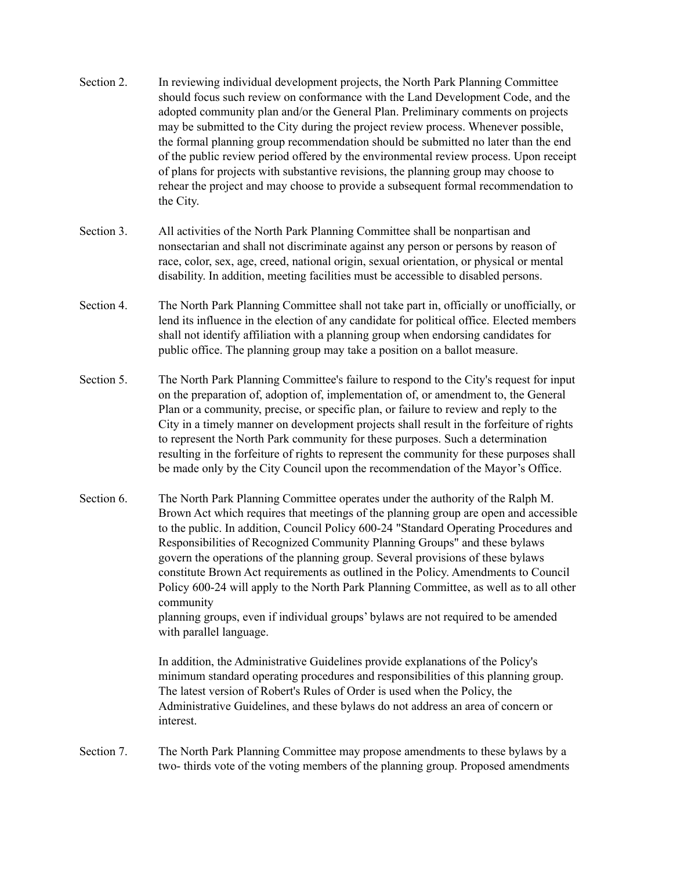- Section 2. In reviewing individual development projects, the North Park Planning Committee should focus such review on conformance with the Land Development Code, and the adopted community plan and/or the General Plan. Preliminary comments on projects may be submitted to the City during the project review process. Whenever possible, the formal planning group recommendation should be submitted no later than the end of the public review period offered by the environmental review process. Upon receipt of plans for projects with substantive revisions, the planning group may choose to rehear the project and may choose to provide a subsequent formal recommendation to the City.
- Section 3. All activities of the North Park Planning Committee shall be nonpartisan and nonsectarian and shall not discriminate against any person or persons by reason of race, color, sex, age, creed, national origin, sexual orientation, or physical or mental disability. In addition, meeting facilities must be accessible to disabled persons.
- Section 4. The North Park Planning Committee shall not take part in, officially or unofficially, or lend its influence in the election of any candidate for political office. Elected members shall not identify affiliation with a planning group when endorsing candidates for public office. The planning group may take a position on a ballot measure.
- Section 5. The North Park Planning Committee's failure to respond to the City's request for input on the preparation of, adoption of, implementation of, or amendment to, the General Plan or a community, precise, or specific plan, or failure to review and reply to the City in a timely manner on development projects shall result in the forfeiture of rights to represent the North Park community for these purposes. Such a determination resulting in the forfeiture of rights to represent the community for these purposes shall be made only by the City Council upon the recommendation of the Mayor's Office.
- Section 6. The North Park Planning Committee operates under the authority of the Ralph M. Brown Act which requires that meetings of the planning group are open and accessible to the public. In addition, Council Policy 600-24 "Standard Operating Procedures and Responsibilities of Recognized Community Planning Groups" and these bylaws govern the operations of the planning group. Several provisions of these bylaws constitute Brown Act requirements as outlined in the Policy. Amendments to Council Policy 600-24 will apply to the North Park Planning Committee, as well as to all other community

planning groups, even if individual groups' bylaws are not required to be amended with parallel language.

In addition, the Administrative Guidelines provide explanations of the Policy's minimum standard operating procedures and responsibilities of this planning group. The latest version of Robert's Rules of Order is used when the Policy, the Administrative Guidelines, and these bylaws do not address an area of concern or interest.

Section 7. The North Park Planning Committee may propose amendments to these bylaws by a two- thirds vote of the voting members of the planning group. Proposed amendments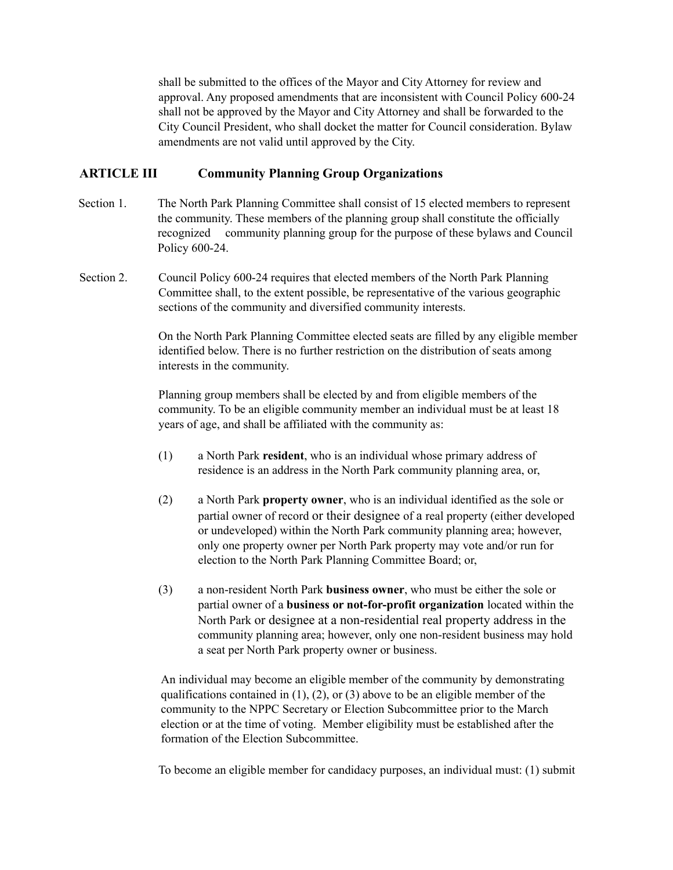shall be submitted to the offices of the Mayor and City Attorney for review and approval. Any proposed amendments that are inconsistent with Council Policy 600-24 shall not be approved by the Mayor and City Attorney and shall be forwarded to the City Council President, who shall docket the matter for Council consideration. Bylaw amendments are not valid until approved by the City.

### **ARTICLE III Community Planning Group Organizations**

- Section 1. The North Park Planning Committee shall consist of 15 elected members to represent the community. These members of the planning group shall constitute the officially recognized community planning group for the purpose of these bylaws and Council Policy 600-24.
- Section 2. Council Policy 600-24 requires that elected members of the North Park Planning Committee shall, to the extent possible, be representative of the various geographic sections of the community and diversified community interests.

On the North Park Planning Committee elected seats are filled by any eligible member identified below. There is no further restriction on the distribution of seats among interests in the community.

Planning group members shall be elected by and from eligible members of the community. To be an eligible community member an individual must be at least 18 years of age, and shall be affiliated with the community as:

- (1) a North Park **resident**, who is an individual whose primary address of residence is an address in the North Park community planning area, or,
- (2) a North Park **property owner**, who is an individual identified as the sole or partial owner of record or their designee of a real property (either developed or undeveloped) within the North Park community planning area; however, only one property owner per North Park property may vote and/or run for election to the North Park Planning Committee Board; or,
- (3) a non-resident North Park **business owner**, who must be either the sole or partial owner of a **business or not-for-profit organization** located within the North Park or designee at a non-residential real property address in the community planning area; however, only one non-resident business may hold a seat per North Park property owner or business.

An individual may become an eligible member of the community by demonstrating qualifications contained in  $(1)$ ,  $(2)$ , or  $(3)$  above to be an eligible member of the community to the NPPC Secretary or Election Subcommittee prior to the March election or at the time of voting. Member eligibility must be established after the formation of the Election Subcommittee.

To become an eligible member for candidacy purposes, an individual must: (1) submit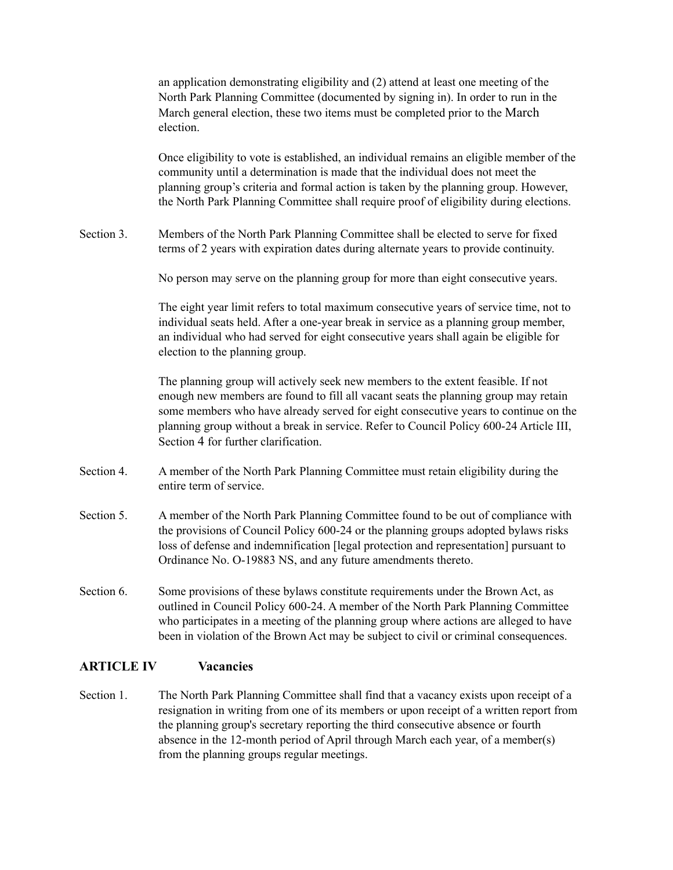an application demonstrating eligibility and (2) attend at least one meeting of the North Park Planning Committee (documented by signing in). In order to run in the March general election, these two items must be completed prior to the March election.

Once eligibility to vote is established, an individual remains an eligible member of the community until a determination is made that the individual does not meet the planning group's criteria and formal action is taken by the planning group. However, the North Park Planning Committee shall require proof of eligibility during elections.

Section 3. Members of the North Park Planning Committee shall be elected to serve for fixed terms of 2 years with expiration dates during alternate years to provide continuity.

No person may serve on the planning group for more than eight consecutive years.

The eight year limit refers to total maximum consecutive years of service time, not to individual seats held. After a one-year break in service as a planning group member, an individual who had served for eight consecutive years shall again be eligible for election to the planning group.

The planning group will actively seek new members to the extent feasible. If not enough new members are found to fill all vacant seats the planning group may retain some members who have already served for eight consecutive years to continue on the planning group without a break in service. Refer to Council Policy 600-24 Article III, Section 4 for further clarification.

- Section 4. A member of the North Park Planning Committee must retain eligibility during the entire term of service.
- Section 5. A member of the North Park Planning Committee found to be out of compliance with the provisions of Council Policy 600-24 or the planning groups adopted bylaws risks loss of defense and indemnification [legal protection and representation] pursuant to Ordinance No. O-19883 NS, and any future amendments thereto.
- Section 6. Some provisions of these bylaws constitute requirements under the Brown Act, as outlined in Council Policy 600-24. A member of the North Park Planning Committee who participates in a meeting of the planning group where actions are alleged to have been in violation of the Brown Act may be subject to civil or criminal consequences.

#### **ARTICLE IV Vacancies**

Section 1. The North Park Planning Committee shall find that a vacancy exists upon receipt of a resignation in writing from one of its members or upon receipt of a written report from the planning group's secretary reporting the third consecutive absence or fourth absence in the 12-month period of April through March each year, of a member(s) from the planning groups regular meetings.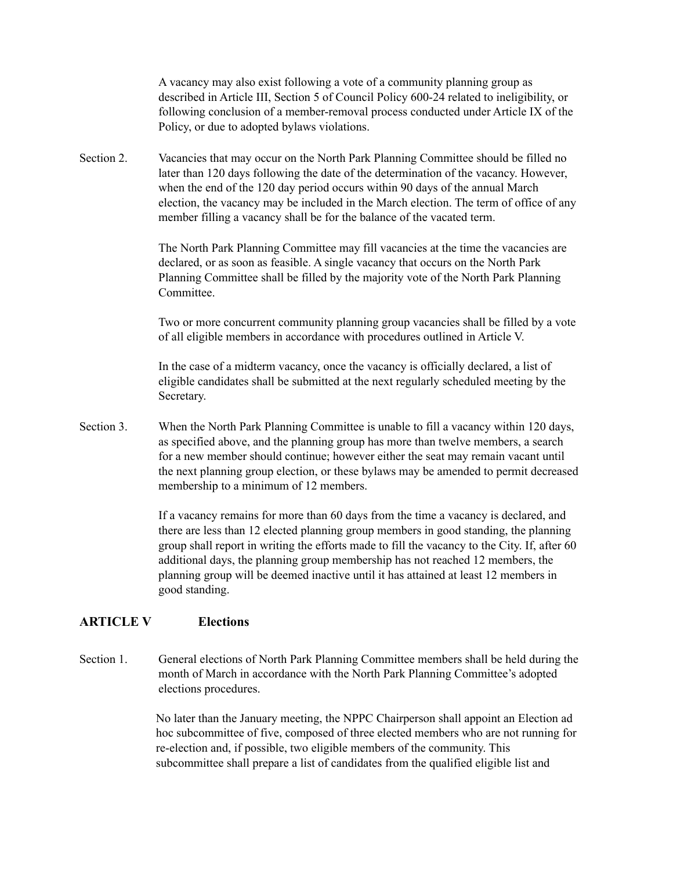A vacancy may also exist following a vote of a community planning group as described in Article III, Section 5 of Council Policy 600-24 related to ineligibility, or following conclusion of a member-removal process conducted under Article IX of the Policy, or due to adopted bylaws violations.

Section 2. Vacancies that may occur on the North Park Planning Committee should be filled no later than 120 days following the date of the determination of the vacancy. However, when the end of the 120 day period occurs within 90 days of the annual March election, the vacancy may be included in the March election. The term of office of any member filling a vacancy shall be for the balance of the vacated term.

> The North Park Planning Committee may fill vacancies at the time the vacancies are declared, or as soon as feasible. A single vacancy that occurs on the North Park Planning Committee shall be filled by the majority vote of the North Park Planning Committee.

Two or more concurrent community planning group vacancies shall be filled by a vote of all eligible members in accordance with procedures outlined in Article V.

In the case of a midterm vacancy, once the vacancy is officially declared, a list of eligible candidates shall be submitted at the next regularly scheduled meeting by the Secretary.

Section 3. When the North Park Planning Committee is unable to fill a vacancy within 120 days, as specified above, and the planning group has more than twelve members, a search for a new member should continue; however either the seat may remain vacant until the next planning group election, or these bylaws may be amended to permit decreased membership to a minimum of 12 members.

> If a vacancy remains for more than 60 days from the time a vacancy is declared, and there are less than 12 elected planning group members in good standing, the planning group shall report in writing the efforts made to fill the vacancy to the City. If, after 60 additional days, the planning group membership has not reached 12 members, the planning group will be deemed inactive until it has attained at least 12 members in good standing.

#### **ARTICLE V Elections**

Section 1. General elections of North Park Planning Committee members shall be held during the month of March in accordance with the North Park Planning Committee's adopted elections procedures.

> No later than the January meeting, the NPPC Chairperson shall appoint an Election ad hoc subcommittee of five, composed of three elected members who are not running for re-election and, if possible, two eligible members of the community. This subcommittee shall prepare a list of candidates from the qualified eligible list and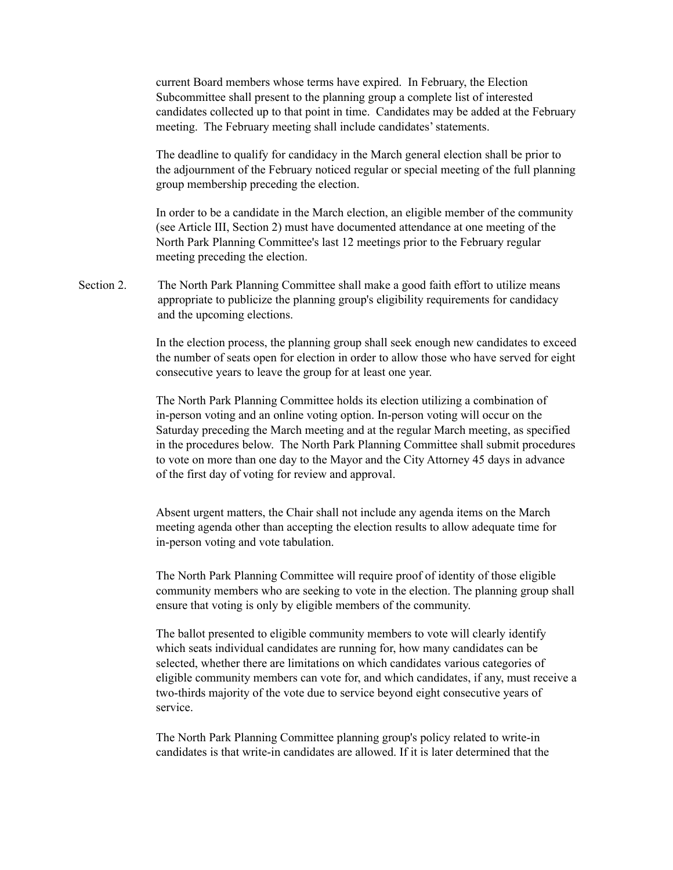current Board members whose terms have expired. In February, the Election Subcommittee shall present to the planning group a complete list of interested candidates collected up to that point in time. Candidates may be added at the February meeting. The February meeting shall include candidates' statements.

The deadline to qualify for candidacy in the March general election shall be prior to the adjournment of the February noticed regular or special meeting of the full planning group membership preceding the election.

In order to be a candidate in the March election, an eligible member of the community (see Article III, Section 2) must have documented attendance at one meeting of the North Park Planning Committee's last 12 meetings prior to the February regular meeting preceding the election.

Section 2. The North Park Planning Committee shall make a good faith effort to utilize means appropriate to publicize the planning group's eligibility requirements for candidacy and the upcoming elections.

> In the election process, the planning group shall seek enough new candidates to exceed the number of seats open for election in order to allow those who have served for eight consecutive years to leave the group for at least one year.

> The North Park Planning Committee holds its election utilizing a combination of in-person voting and an online voting option. In-person voting will occur on the Saturday preceding the March meeting and at the regular March meeting, as specified in the procedures below. The North Park Planning Committee shall submit procedures to vote on more than one day to the Mayor and the City Attorney 45 days in advance of the first day of voting for review and approval.

Absent urgent matters, the Chair shall not include any agenda items on the March meeting agenda other than accepting the election results to allow adequate time for in-person voting and vote tabulation.

The North Park Planning Committee will require proof of identity of those eligible community members who are seeking to vote in the election. The planning group shall ensure that voting is only by eligible members of the community.

The ballot presented to eligible community members to vote will clearly identify which seats individual candidates are running for, how many candidates can be selected, whether there are limitations on which candidates various categories of eligible community members can vote for, and which candidates, if any, must receive a two-thirds majority of the vote due to service beyond eight consecutive years of service.

The North Park Planning Committee planning group's policy related to write-in candidates is that write-in candidates are allowed. If it is later determined that the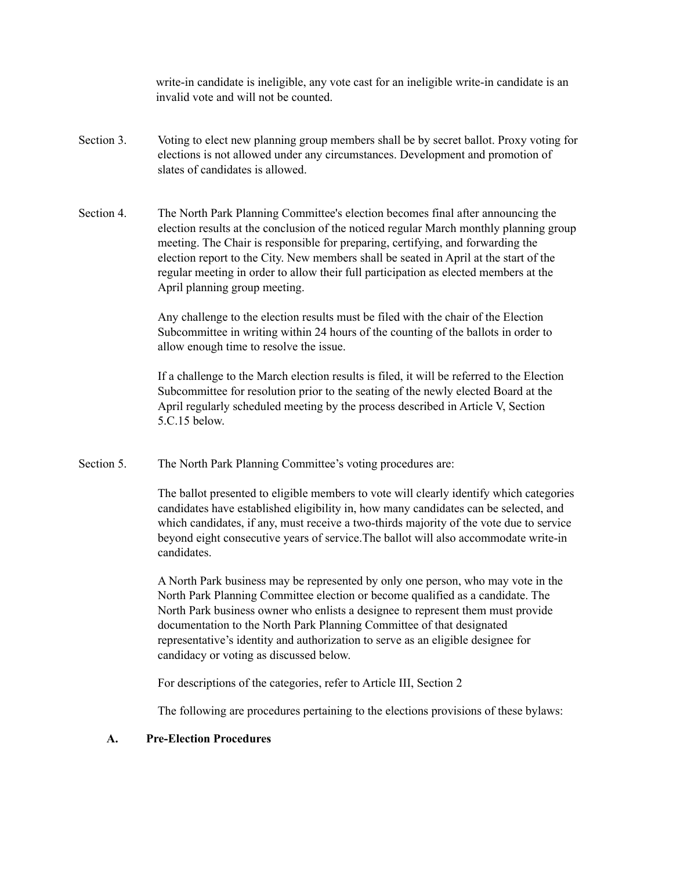write-in candidate is ineligible, any vote cast for an ineligible write-in candidate is an invalid vote and will not be counted.

- Section 3. Voting to elect new planning group members shall be by secret ballot. Proxy voting for elections is not allowed under any circumstances. Development and promotion of slates of candidates is allowed.
- Section 4. The North Park Planning Committee's election becomes final after announcing the election results at the conclusion of the noticed regular March monthly planning group meeting. The Chair is responsible for preparing, certifying, and forwarding the election report to the City. New members shall be seated in April at the start of the regular meeting in order to allow their full participation as elected members at the April planning group meeting.

Any challenge to the election results must be filed with the chair of the Election Subcommittee in writing within 24 hours of the counting of the ballots in order to allow enough time to resolve the issue.

If a challenge to the March election results is filed, it will be referred to the Election Subcommittee for resolution prior to the seating of the newly elected Board at the April regularly scheduled meeting by the process described in Article V, Section 5.C.15 below.

Section 5. The North Park Planning Committee's voting procedures are:

The ballot presented to eligible members to vote will clearly identify which categories candidates have established eligibility in, how many candidates can be selected, and which candidates, if any, must receive a two-thirds majority of the vote due to service beyond eight consecutive years of service.The ballot will also accommodate write-in candidates.

A North Park business may be represented by only one person, who may vote in the North Park Planning Committee election or become qualified as a candidate. The North Park business owner who enlists a designee to represent them must provide documentation to the North Park Planning Committee of that designated representative's identity and authorization to serve as an eligible designee for candidacy or voting as discussed below.

For descriptions of the categories, refer to Article III, Section 2

The following are procedures pertaining to the elections provisions of these bylaws:

#### **A. Pre-Election Procedures**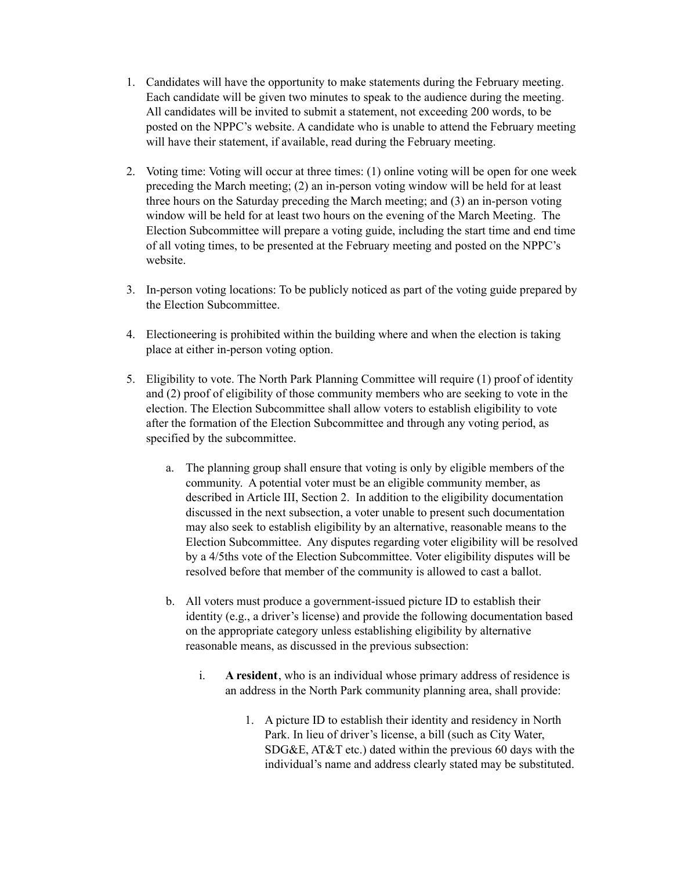- 1. Candidates will have the opportunity to make statements during the February meeting. Each candidate will be given two minutes to speak to the audience during the meeting. All candidates will be invited to submit a statement, not exceeding 200 words, to be posted on the NPPC's website. A candidate who is unable to attend the February meeting will have their statement, if available, read during the February meeting.
- 2. Voting time: Voting will occur at three times: (1) online voting will be open for one week preceding the March meeting; (2) an in-person voting window will be held for at least three hours on the Saturday preceding the March meeting; and (3) an in-person voting window will be held for at least two hours on the evening of the March Meeting. The Election Subcommittee will prepare a voting guide, including the start time and end time of all voting times, to be presented at the February meeting and posted on the NPPC's website.
- 3. In-person voting locations: To be publicly noticed as part of the voting guide prepared by the Election Subcommittee.
- 4. Electioneering is prohibited within the building where and when the election is taking place at either in-person voting option.
- 5. Eligibility to vote. The North Park Planning Committee will require (1) proof of identity and (2) proof of eligibility of those community members who are seeking to vote in the election. The Election Subcommittee shall allow voters to establish eligibility to vote after the formation of the Election Subcommittee and through any voting period, as specified by the subcommittee.
	- a. The planning group shall ensure that voting is only by eligible members of the community. A potential voter must be an eligible community member, as described in Article III, Section 2. In addition to the eligibility documentation discussed in the next subsection, a voter unable to present such documentation may also seek to establish eligibility by an alternative, reasonable means to the Election Subcommittee. Any disputes regarding voter eligibility will be resolved by a 4/5ths vote of the Election Subcommittee. Voter eligibility disputes will be resolved before that member of the community is allowed to cast a ballot.
	- b. All voters must produce a government-issued picture ID to establish their identity (e.g., a driver's license) and provide the following documentation based on the appropriate category unless establishing eligibility by alternative reasonable means, as discussed in the previous subsection:
		- i. **A resident**, who is an individual whose primary address of residence is an address in the North Park community planning area, shall provide:
			- 1. A picture ID to establish their identity and residency in North Park. In lieu of driver's license, a bill (such as City Water, SDG&E, AT&T etc.) dated within the previous 60 days with the individual's name and address clearly stated may be substituted.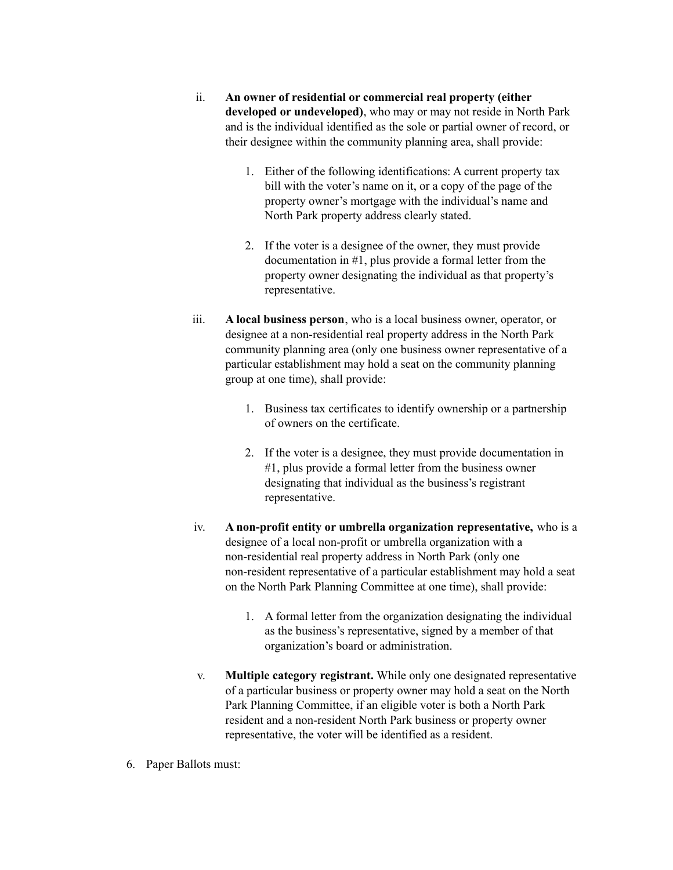- ii. **An owner of residential or commercial real property (either developed or undeveloped)**, who may or may not reside in North Park and is the individual identified as the sole or partial owner of record, or their designee within the community planning area, shall provide:
	- 1. Either of the following identifications: A current property tax bill with the voter's name on it, or a copy of the page of the property owner's mortgage with the individual's name and North Park property address clearly stated.
	- 2. If the voter is a designee of the owner, they must provide documentation in #1, plus provide a formal letter from the property owner designating the individual as that property's representative.
- iii. **A local business person**, who is a local business owner, operator, or designee at a non-residential real property address in the North Park community planning area (only one business owner representative of a particular establishment may hold a seat on the community planning group at one time), shall provide:
	- 1. Business tax certificates to identify ownership or a partnership of owners on the certificate.
	- 2. If the voter is a designee, they must provide documentation in #1, plus provide a formal letter from the business owner designating that individual as the business's registrant representative.
- iv. **A non-profit entity or umbrella organization representative,** who is a designee of a local non-profit or umbrella organization with a non-residential real property address in North Park (only one non-resident representative of a particular establishment may hold a seat on the North Park Planning Committee at one time), shall provide:
	- 1. A formal letter from the organization designating the individual as the business's representative, signed by a member of that organization's board or administration.
- v. **Multiple category registrant.** While only one designated representative of a particular business or property owner may hold a seat on the North Park Planning Committee, if an eligible voter is both a North Park resident and a non-resident North Park business or property owner representative, the voter will be identified as a resident.
- 6. Paper Ballots must: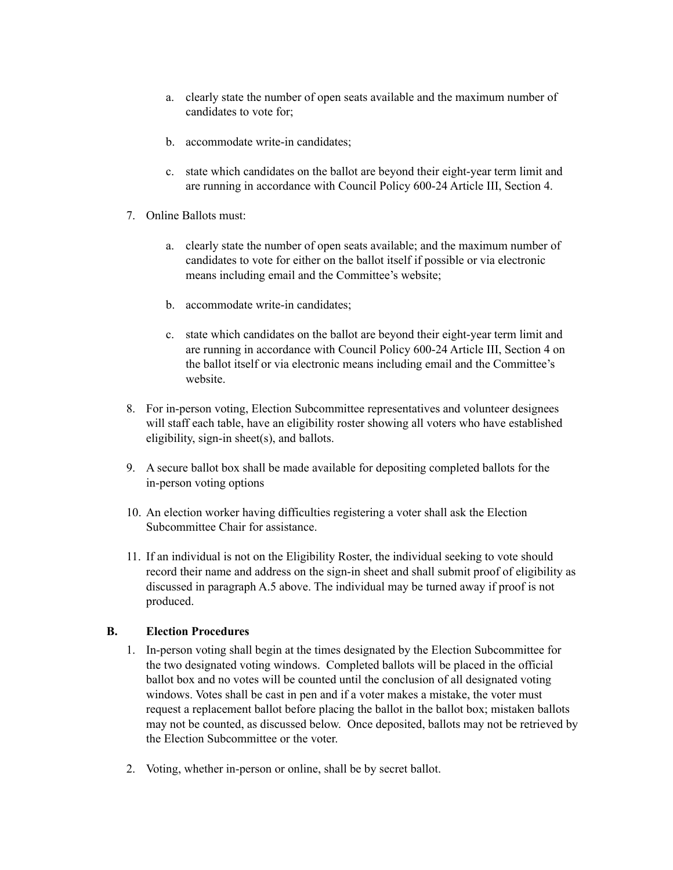- a. clearly state the number of open seats available and the maximum number of candidates to vote for;
- b. accommodate write-in candidates;
- c. state which candidates on the ballot are beyond their eight-year term limit and are running in accordance with Council Policy 600-24 Article III, Section 4.
- 7. Online Ballots must:
	- a. clearly state the number of open seats available; and the maximum number of candidates to vote for either on the ballot itself if possible or via electronic means including email and the Committee's website;
	- b. accommodate write-in candidates;
	- c. state which candidates on the ballot are beyond their eight-year term limit and are running in accordance with Council Policy 600-24 Article III, Section 4 on the ballot itself or via electronic means including email and the Committee's website.
- 8. For in-person voting, Election Subcommittee representatives and volunteer designees will staff each table, have an eligibility roster showing all voters who have established eligibility, sign-in sheet(s), and ballots.
- 9. A secure ballot box shall be made available for depositing completed ballots for the in-person voting options
- 10. An election worker having difficulties registering a voter shall ask the Election Subcommittee Chair for assistance.
- 11. If an individual is not on the Eligibility Roster, the individual seeking to vote should record their name and address on the sign-in sheet and shall submit proof of eligibility as discussed in paragraph A.5 above. The individual may be turned away if proof is not produced.

# **B. Election Procedures**

- 1. In-person voting shall begin at the times designated by the Election Subcommittee for the two designated voting windows. Completed ballots will be placed in the official ballot box and no votes will be counted until the conclusion of all designated voting windows. Votes shall be cast in pen and if a voter makes a mistake, the voter must request a replacement ballot before placing the ballot in the ballot box; mistaken ballots may not be counted, as discussed below. Once deposited, ballots may not be retrieved by the Election Subcommittee or the voter.
- 2. Voting, whether in-person or online, shall be by secret ballot.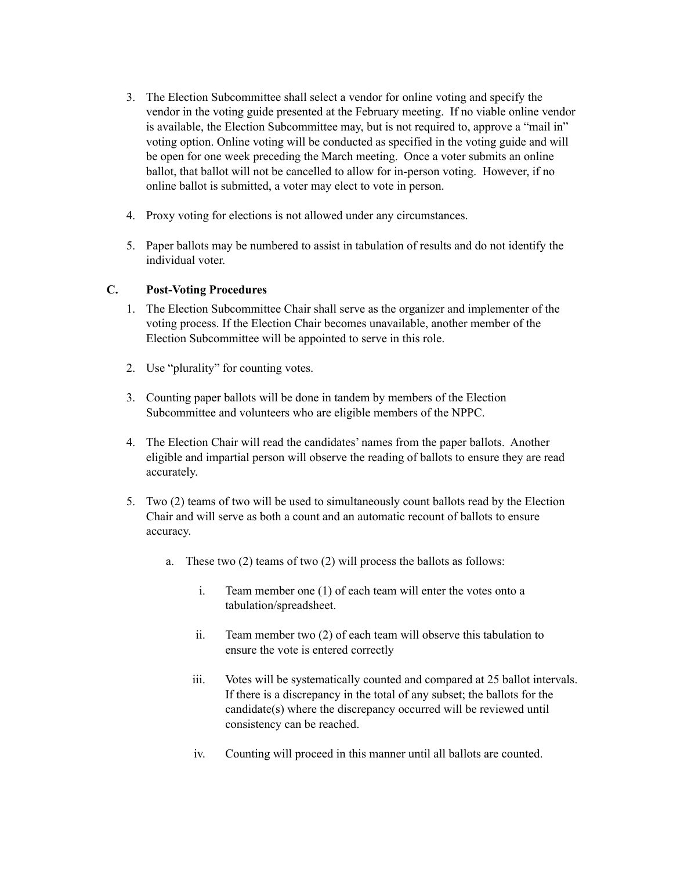- 3. The Election Subcommittee shall select a vendor for online voting and specify the vendor in the voting guide presented at the February meeting. If no viable online vendor is available, the Election Subcommittee may, but is not required to, approve a "mail in" voting option. Online voting will be conducted as specified in the voting guide and will be open for one week preceding the March meeting. Once a voter submits an online ballot, that ballot will not be cancelled to allow for in-person voting. However, if no online ballot is submitted, a voter may elect to vote in person.
- 4. Proxy voting for elections is not allowed under any circumstances.
- 5. Paper ballots may be numbered to assist in tabulation of results and do not identify the individual voter.

#### **C. Post-Voting Procedures**

- 1. The Election Subcommittee Chair shall serve as the organizer and implementer of the voting process. If the Election Chair becomes unavailable, another member of the Election Subcommittee will be appointed to serve in this role.
- 2. Use "plurality" for counting votes.
- 3. Counting paper ballots will be done in tandem by members of the Election Subcommittee and volunteers who are eligible members of the NPPC.
- 4. The Election Chair will read the candidates' names from the paper ballots. Another eligible and impartial person will observe the reading of ballots to ensure they are read accurately.
- 5. Two (2) teams of two will be used to simultaneously count ballots read by the Election Chair and will serve as both a count and an automatic recount of ballots to ensure accuracy.
	- a. These two (2) teams of two (2) will process the ballots as follows:
		- i. Team member one (1) of each team will enter the votes onto a tabulation/spreadsheet.
		- ii. Team member two (2) of each team will observe this tabulation to ensure the vote is entered correctly
		- iii. Votes will be systematically counted and compared at 25 ballot intervals. If there is a discrepancy in the total of any subset; the ballots for the candidate(s) where the discrepancy occurred will be reviewed until consistency can be reached.
		- iv. Counting will proceed in this manner until all ballots are counted.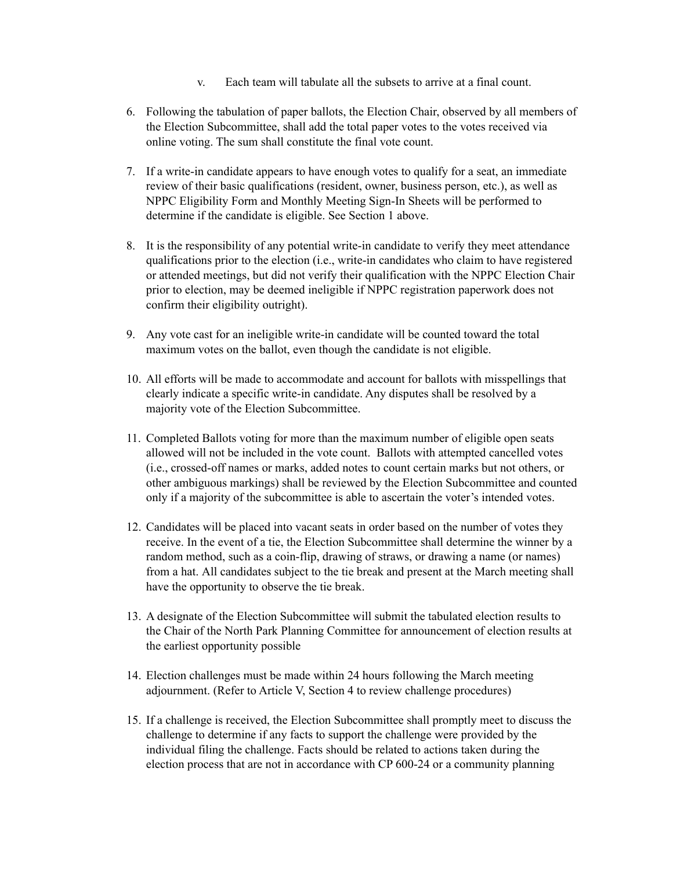- v. Each team will tabulate all the subsets to arrive at a final count.
- 6. Following the tabulation of paper ballots, the Election Chair, observed by all members of the Election Subcommittee, shall add the total paper votes to the votes received via online voting. The sum shall constitute the final vote count.
- 7. If a write-in candidate appears to have enough votes to qualify for a seat, an immediate review of their basic qualifications (resident, owner, business person, etc.), as well as NPPC Eligibility Form and Monthly Meeting Sign-In Sheets will be performed to determine if the candidate is eligible. See Section 1 above.
- 8. It is the responsibility of any potential write-in candidate to verify they meet attendance qualifications prior to the election (i.e., write-in candidates who claim to have registered or attended meetings, but did not verify their qualification with the NPPC Election Chair prior to election, may be deemed ineligible if NPPC registration paperwork does not confirm their eligibility outright).
- 9. Any vote cast for an ineligible write-in candidate will be counted toward the total maximum votes on the ballot, even though the candidate is not eligible.
- 10. All efforts will be made to accommodate and account for ballots with misspellings that clearly indicate a specific write-in candidate. Any disputes shall be resolved by a majority vote of the Election Subcommittee.
- 11. Completed Ballots voting for more than the maximum number of eligible open seats allowed will not be included in the vote count. Ballots with attempted cancelled votes (i.e., crossed-off names or marks, added notes to count certain marks but not others, or other ambiguous markings) shall be reviewed by the Election Subcommittee and counted only if a majority of the subcommittee is able to ascertain the voter's intended votes.
- 12. Candidates will be placed into vacant seats in order based on the number of votes they receive. In the event of a tie, the Election Subcommittee shall determine the winner by a random method, such as a coin-flip, drawing of straws, or drawing a name (or names) from a hat. All candidates subject to the tie break and present at the March meeting shall have the opportunity to observe the tie break.
- 13. A designate of the Election Subcommittee will submit the tabulated election results to the Chair of the North Park Planning Committee for announcement of election results at the earliest opportunity possible
- 14. Election challenges must be made within 24 hours following the March meeting adjournment. (Refer to Article V, Section 4 to review challenge procedures)
- 15. If a challenge is received, the Election Subcommittee shall promptly meet to discuss the challenge to determine if any facts to support the challenge were provided by the individual filing the challenge. Facts should be related to actions taken during the election process that are not in accordance with CP 600-24 or a community planning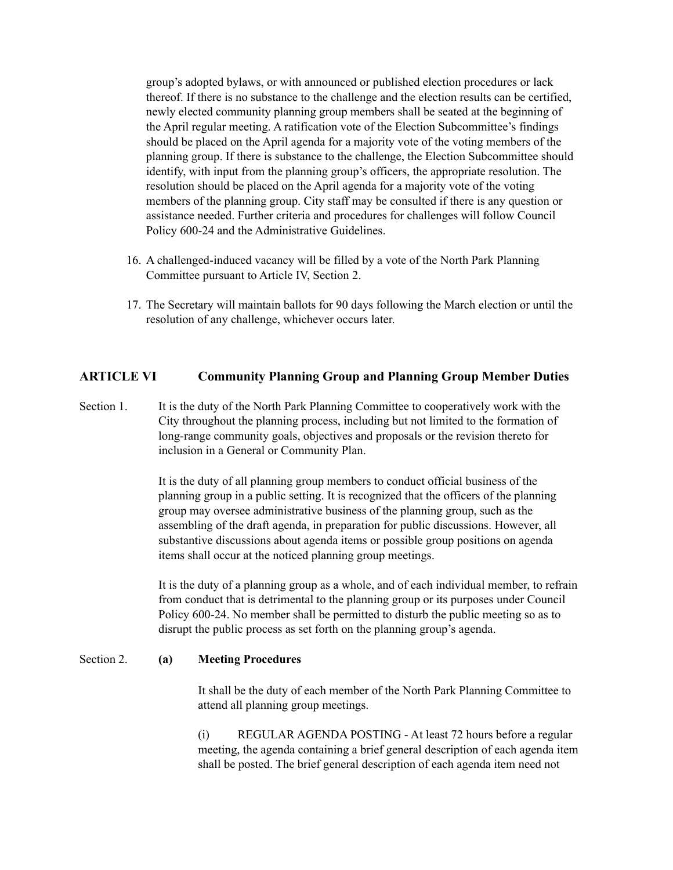group's adopted bylaws, or with announced or published election procedures or lack thereof. If there is no substance to the challenge and the election results can be certified, newly elected community planning group members shall be seated at the beginning of the April regular meeting. A ratification vote of the Election Subcommittee's findings should be placed on the April agenda for a majority vote of the voting members of the planning group. If there is substance to the challenge, the Election Subcommittee should identify, with input from the planning group's officers, the appropriate resolution. The resolution should be placed on the April agenda for a majority vote of the voting members of the planning group. City staff may be consulted if there is any question or assistance needed. Further criteria and procedures for challenges will follow Council Policy 600-24 and the Administrative Guidelines.

- 16. A challenged-induced vacancy will be filled by a vote of the North Park Planning Committee pursuant to Article IV, Section 2.
- 17. The Secretary will maintain ballots for 90 days following the March election or until the resolution of any challenge, whichever occurs later.

#### **ARTICLE VI Community Planning Group and Planning Group Member Duties**

Section 1. It is the duty of the North Park Planning Committee to cooperatively work with the City throughout the planning process, including but not limited to the formation of long-range community goals, objectives and proposals or the revision thereto for inclusion in a General or Community Plan.

> It is the duty of all planning group members to conduct official business of the planning group in a public setting. It is recognized that the officers of the planning group may oversee administrative business of the planning group, such as the assembling of the draft agenda, in preparation for public discussions. However, all substantive discussions about agenda items or possible group positions on agenda items shall occur at the noticed planning group meetings.

It is the duty of a planning group as a whole, and of each individual member, to refrain from conduct that is detrimental to the planning group or its purposes under Council Policy 600-24. No member shall be permitted to disturb the public meeting so as to disrupt the public process as set forth on the planning group's agenda.

#### Section 2. **(a) Meeting Procedures**

It shall be the duty of each member of the North Park Planning Committee to attend all planning group meetings.

(i) REGULAR AGENDA POSTING - At least 72 hours before a regular meeting, the agenda containing a brief general description of each agenda item shall be posted. The brief general description of each agenda item need not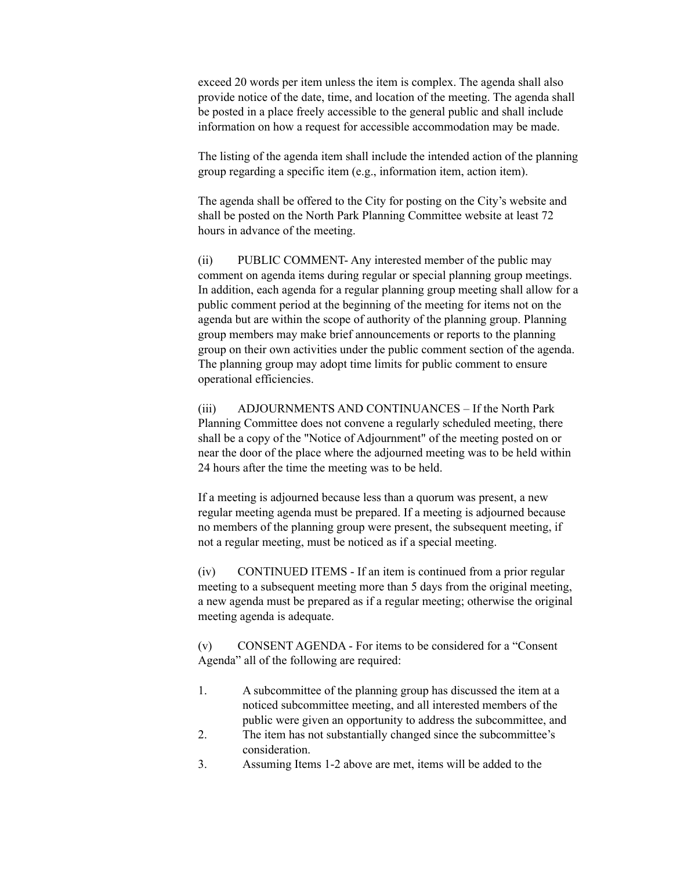exceed 20 words per item unless the item is complex. The agenda shall also provide notice of the date, time, and location of the meeting. The agenda shall be posted in a place freely accessible to the general public and shall include information on how a request for accessible accommodation may be made.

The listing of the agenda item shall include the intended action of the planning group regarding a specific item (e.g., information item, action item).

The agenda shall be offered to the City for posting on the City's website and shall be posted on the North Park Planning Committee website at least 72 hours in advance of the meeting.

(ii) PUBLIC COMMENT- Any interested member of the public may comment on agenda items during regular or special planning group meetings. In addition, each agenda for a regular planning group meeting shall allow for a public comment period at the beginning of the meeting for items not on the agenda but are within the scope of authority of the planning group. Planning group members may make brief announcements or reports to the planning group on their own activities under the public comment section of the agenda. The planning group may adopt time limits for public comment to ensure operational efficiencies.

(iii) ADJOURNMENTS AND CONTINUANCES – If the North Park Planning Committee does not convene a regularly scheduled meeting, there shall be a copy of the "Notice of Adjournment" of the meeting posted on or near the door of the place where the adjourned meeting was to be held within 24 hours after the time the meeting was to be held.

If a meeting is adjourned because less than a quorum was present, a new regular meeting agenda must be prepared. If a meeting is adjourned because no members of the planning group were present, the subsequent meeting, if not a regular meeting, must be noticed as if a special meeting.

(iv) CONTINUED ITEMS - If an item is continued from a prior regular meeting to a subsequent meeting more than 5 days from the original meeting, a new agenda must be prepared as if a regular meeting; otherwise the original meeting agenda is adequate.

(v) CONSENT AGENDA - For items to be considered for a "Consent Agenda" all of the following are required:

- 1. A subcommittee of the planning group has discussed the item at a noticed subcommittee meeting, and all interested members of the public were given an opportunity to address the subcommittee, and
- 2. The item has not substantially changed since the subcommittee's consideration.
- 3. Assuming Items 1-2 above are met, items will be added to the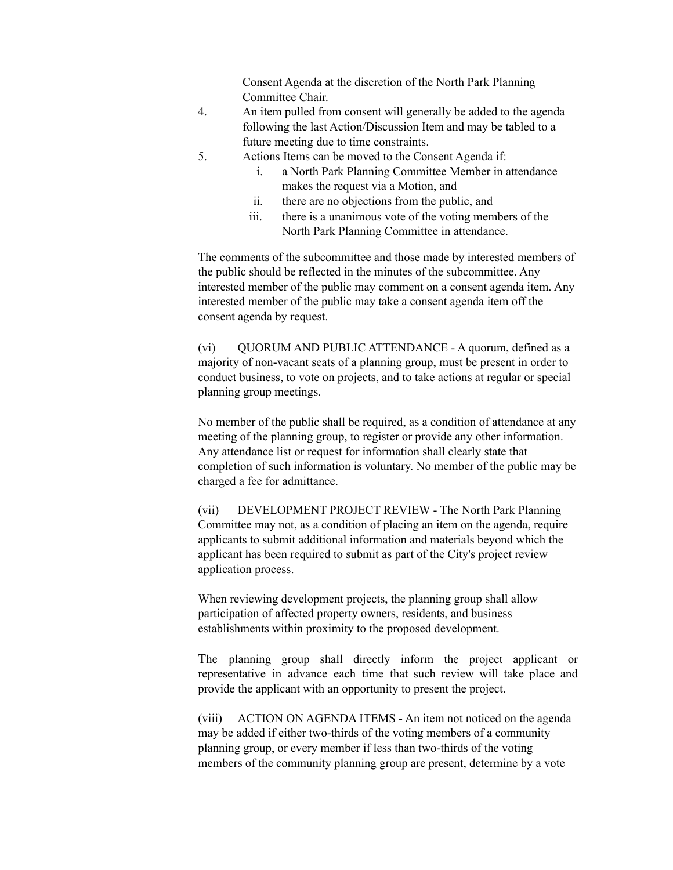Consent Agenda at the discretion of the North Park Planning Committee Chair.

- 4. An item pulled from consent will generally be added to the agenda following the last Action/Discussion Item and may be tabled to a future meeting due to time constraints.
- 5. Actions Items can be moved to the Consent Agenda if:
	- i. a North Park Planning Committee Member in attendance makes the request via a Motion, and
	- ii. there are no objections from the public, and
	- iii. there is a unanimous vote of the voting members of the North Park Planning Committee in attendance.

The comments of the subcommittee and those made by interested members of the public should be reflected in the minutes of the subcommittee. Any interested member of the public may comment on a consent agenda item. Any interested member of the public may take a consent agenda item off the consent agenda by request.

(vi) QUORUM AND PUBLIC ATTENDANCE - A quorum, defined as a majority of non-vacant seats of a planning group, must be present in order to conduct business, to vote on projects, and to take actions at regular or special planning group meetings.

No member of the public shall be required, as a condition of attendance at any meeting of the planning group, to register or provide any other information. Any attendance list or request for information shall clearly state that completion of such information is voluntary. No member of the public may be charged a fee for admittance.

(vii) DEVELOPMENT PROJECT REVIEW - The North Park Planning Committee may not, as a condition of placing an item on the agenda, require applicants to submit additional information and materials beyond which the applicant has been required to submit as part of the City's project review application process.

When reviewing development projects, the planning group shall allow participation of affected property owners, residents, and business establishments within proximity to the proposed development.

The planning group shall directly inform the project applicant or representative in advance each time that such review will take place and provide the applicant with an opportunity to present the project.

(viii) ACTION ON AGENDA ITEMS - An item not noticed on the agenda may be added if either two-thirds of the voting members of a community planning group, or every member if less than two-thirds of the voting members of the community planning group are present, determine by a vote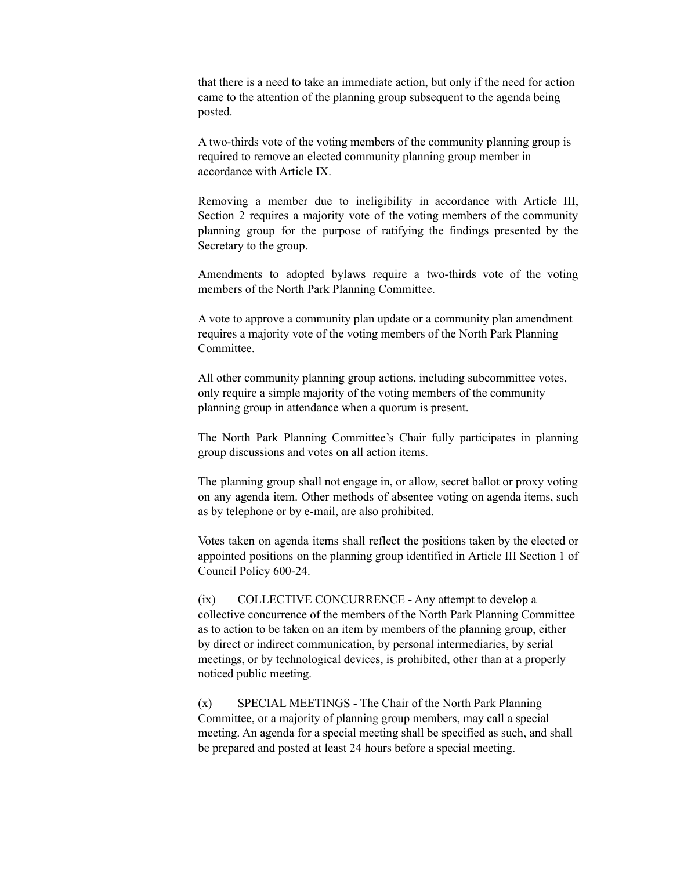that there is a need to take an immediate action, but only if the need for action came to the attention of the planning group subsequent to the agenda being posted.

A two-thirds vote of the voting members of the community planning group is required to remove an elected community planning group member in accordance with Article IX.

Removing a member due to ineligibility in accordance with Article III, Section 2 requires a majority vote of the voting members of the community planning group for the purpose of ratifying the findings presented by the Secretary to the group.

Amendments to adopted bylaws require a two-thirds vote of the voting members of the North Park Planning Committee.

A vote to approve a community plan update or a community plan amendment requires a majority vote of the voting members of the North Park Planning Committee.

All other community planning group actions, including subcommittee votes, only require a simple majority of the voting members of the community planning group in attendance when a quorum is present.

The North Park Planning Committee's Chair fully participates in planning group discussions and votes on all action items.

The planning group shall not engage in, or allow, secret ballot or proxy voting on any agenda item. Other methods of absentee voting on agenda items, such as by telephone or by e-mail, are also prohibited.

Votes taken on agenda items shall reflect the positions taken by the elected or appointed positions on the planning group identified in Article III Section 1 of Council Policy 600-24.

(ix) COLLECTIVE CONCURRENCE - Any attempt to develop a collective concurrence of the members of the North Park Planning Committee as to action to be taken on an item by members of the planning group, either by direct or indirect communication, by personal intermediaries, by serial meetings, or by technological devices, is prohibited, other than at a properly noticed public meeting.

(x) SPECIAL MEETINGS - The Chair of the North Park Planning Committee, or a majority of planning group members, may call a special meeting. An agenda for a special meeting shall be specified as such, and shall be prepared and posted at least 24 hours before a special meeting.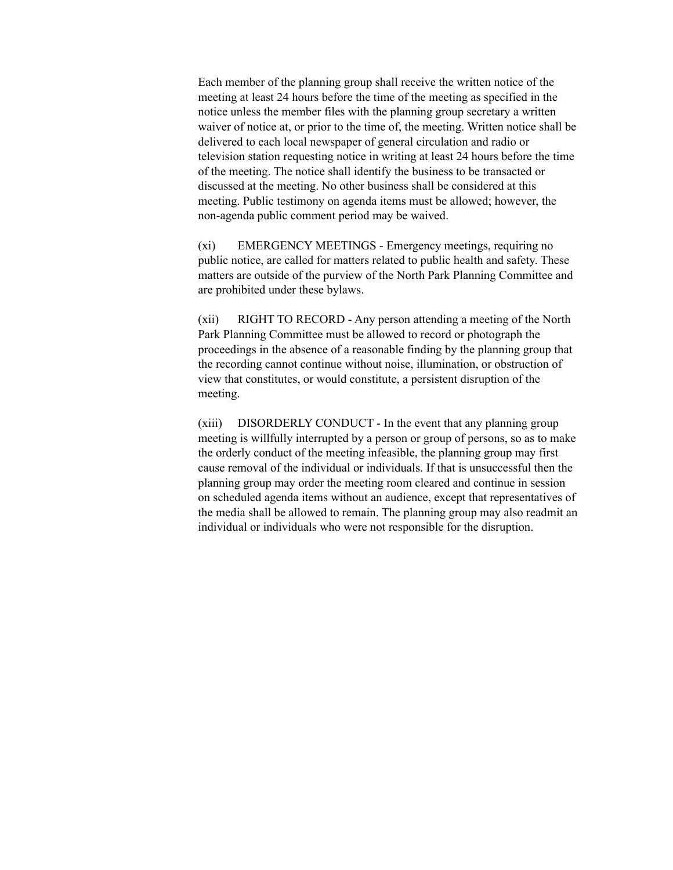Each member of the planning group shall receive the written notice of the meeting at least 24 hours before the time of the meeting as specified in the notice unless the member files with the planning group secretary a written waiver of notice at, or prior to the time of, the meeting. Written notice shall be delivered to each local newspaper of general circulation and radio or television station requesting notice in writing at least 24 hours before the time of the meeting. The notice shall identify the business to be transacted or discussed at the meeting. No other business shall be considered at this meeting. Public testimony on agenda items must be allowed; however, the non-agenda public comment period may be waived.

(xi) EMERGENCY MEETINGS - Emergency meetings, requiring no public notice, are called for matters related to public health and safety. These matters are outside of the purview of the North Park Planning Committee and are prohibited under these bylaws.

(xii) RIGHT TO RECORD - Any person attending a meeting of the North Park Planning Committee must be allowed to record or photograph the proceedings in the absence of a reasonable finding by the planning group that the recording cannot continue without noise, illumination, or obstruction of view that constitutes, or would constitute, a persistent disruption of the meeting.

(xiii) DISORDERLY CONDUCT - In the event that any planning group meeting is willfully interrupted by a person or group of persons, so as to make the orderly conduct of the meeting infeasible, the planning group may first cause removal of the individual or individuals. If that is unsuccessful then the planning group may order the meeting room cleared and continue in session on scheduled agenda items without an audience, except that representatives of the media shall be allowed to remain. The planning group may also readmit an individual or individuals who were not responsible for the disruption.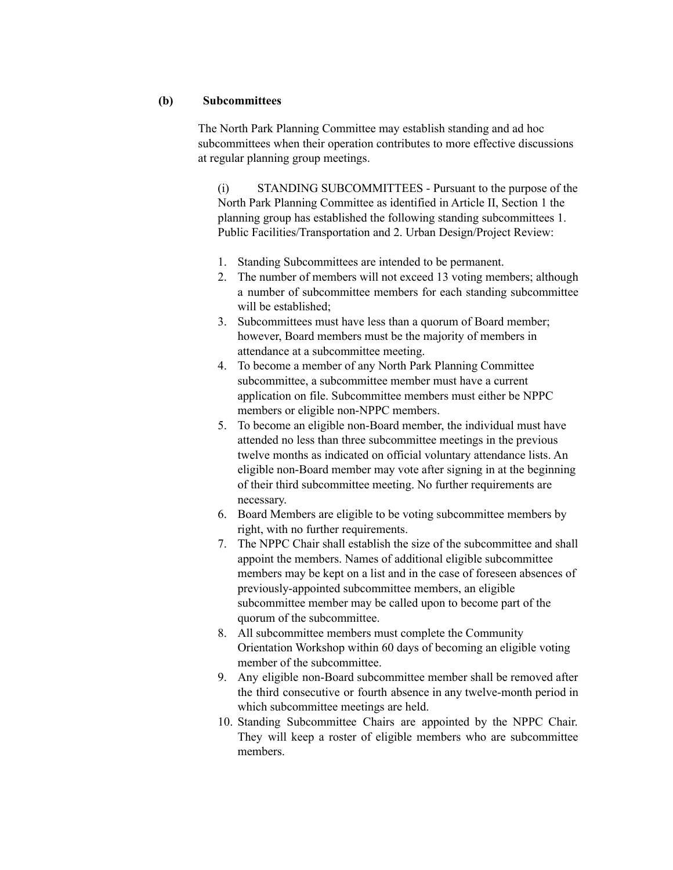#### **(b) Subcommittees**

The North Park Planning Committee may establish standing and ad hoc subcommittees when their operation contributes to more effective discussions at regular planning group meetings.

(i) STANDING SUBCOMMITTEES - Pursuant to the purpose of the North Park Planning Committee as identified in Article II, Section 1 the planning group has established the following standing subcommittees 1. Public Facilities/Transportation and 2. Urban Design/Project Review:

- 1. Standing Subcommittees are intended to be permanent.
- 2. The number of members will not exceed 13 voting members; although a number of subcommittee members for each standing subcommittee will be established;
- 3. Subcommittees must have less than a quorum of Board member; however, Board members must be the majority of members in attendance at a subcommittee meeting.
- 4. To become a member of any North Park Planning Committee subcommittee, a subcommittee member must have a current application on file. Subcommittee members must either be NPPC members or eligible non-NPPC members.
- 5. To become an eligible non-Board member, the individual must have attended no less than three subcommittee meetings in the previous twelve months as indicated on official voluntary attendance lists. An eligible non-Board member may vote after signing in at the beginning of their third subcommittee meeting. No further requirements are necessary.
- 6. Board Members are eligible to be voting subcommittee members by right, with no further requirements.
- 7. The NPPC Chair shall establish the size of the subcommittee and shall appoint the members. Names of additional eligible subcommittee members may be kept on a list and in the case of foreseen absences of previously-appointed subcommittee members, an eligible subcommittee member may be called upon to become part of the quorum of the subcommittee.
- 8. All subcommittee members must complete the Community Orientation Workshop within 60 days of becoming an eligible voting member of the subcommittee.
- 9. Any eligible non-Board subcommittee member shall be removed after the third consecutive or fourth absence in any twelve-month period in which subcommittee meetings are held.
- 10. Standing Subcommittee Chairs are appointed by the NPPC Chair. They will keep a roster of eligible members who are subcommittee members.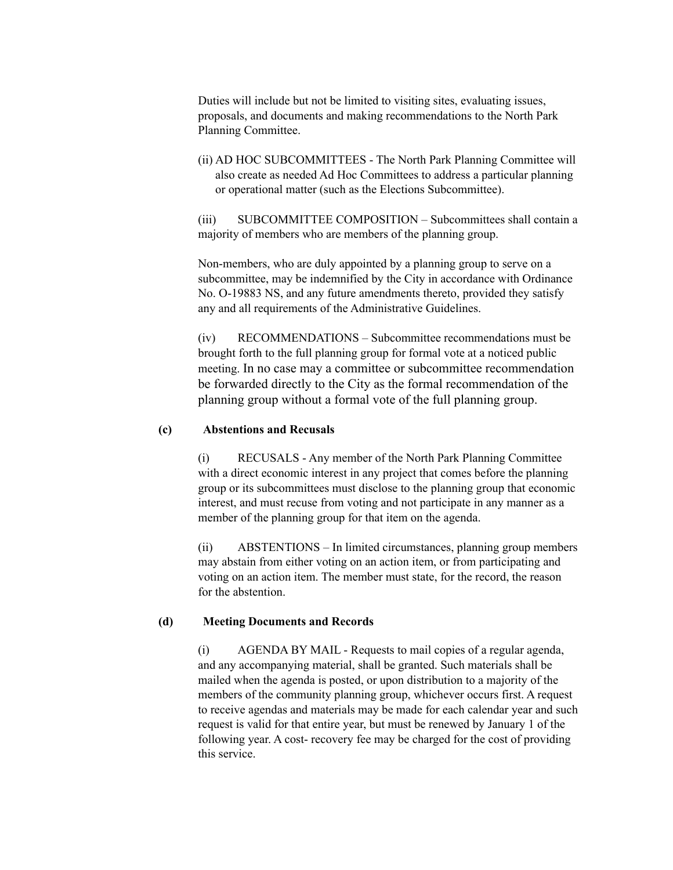Duties will include but not be limited to visiting sites, evaluating issues, proposals, and documents and making recommendations to the North Park Planning Committee.

(ii) AD HOC SUBCOMMITTEES - The North Park Planning Committee will also create as needed Ad Hoc Committees to address a particular planning or operational matter (such as the Elections Subcommittee).

(iii) SUBCOMMITTEE COMPOSITION – Subcommittees shall contain a majority of members who are members of the planning group.

Non-members, who are duly appointed by a planning group to serve on a subcommittee, may be indemnified by the City in accordance with Ordinance No. O-19883 NS, and any future amendments thereto, provided they satisfy any and all requirements of the Administrative Guidelines.

(iv) RECOMMENDATIONS – Subcommittee recommendations must be brought forth to the full planning group for formal vote at a noticed public meeting. In no case may a committee or subcommittee recommendation be forwarded directly to the City as the formal recommendation of the planning group without a formal vote of the full planning group.

#### **(c) Abstentions and Recusals**

(i) RECUSALS - Any member of the North Park Planning Committee with a direct economic interest in any project that comes before the planning group or its subcommittees must disclose to the planning group that economic interest, and must recuse from voting and not participate in any manner as a member of the planning group for that item on the agenda.

(ii) ABSTENTIONS – In limited circumstances, planning group members may abstain from either voting on an action item, or from participating and voting on an action item. The member must state, for the record, the reason for the abstention.

#### **(d) Meeting Documents and Records**

(i) AGENDA BY MAIL - Requests to mail copies of a regular agenda, and any accompanying material, shall be granted. Such materials shall be mailed when the agenda is posted, or upon distribution to a majority of the members of the community planning group, whichever occurs first. A request to receive agendas and materials may be made for each calendar year and such request is valid for that entire year, but must be renewed by January 1 of the following year. A cost- recovery fee may be charged for the cost of providing this service.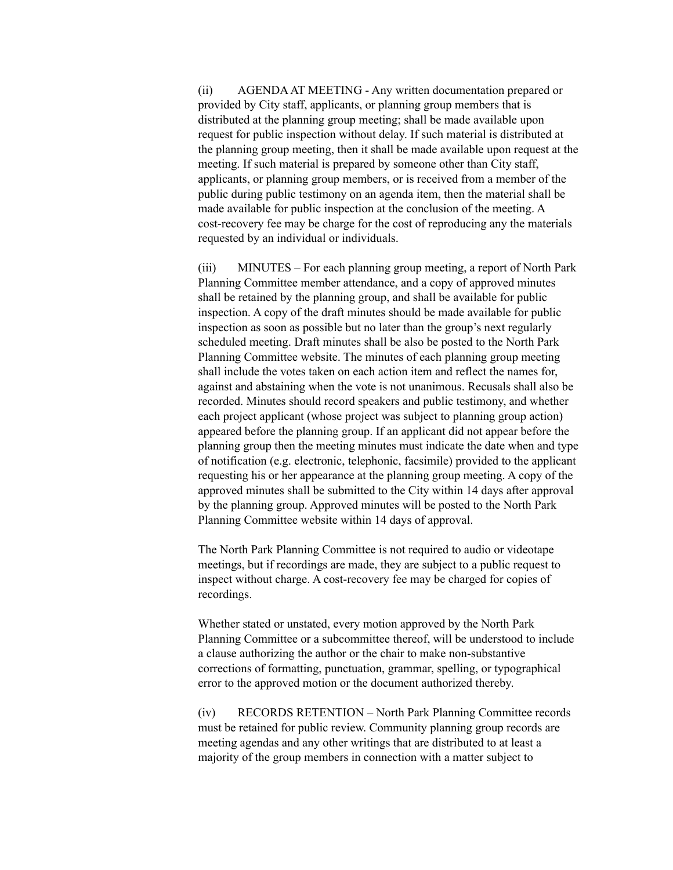(ii) AGENDAAT MEETING - Any written documentation prepared or provided by City staff, applicants, or planning group members that is distributed at the planning group meeting; shall be made available upon request for public inspection without delay. If such material is distributed at the planning group meeting, then it shall be made available upon request at the meeting. If such material is prepared by someone other than City staff, applicants, or planning group members, or is received from a member of the public during public testimony on an agenda item, then the material shall be made available for public inspection at the conclusion of the meeting. A cost-recovery fee may be charge for the cost of reproducing any the materials requested by an individual or individuals.

(iii) MINUTES – For each planning group meeting, a report of North Park Planning Committee member attendance, and a copy of approved minutes shall be retained by the planning group, and shall be available for public inspection. A copy of the draft minutes should be made available for public inspection as soon as possible but no later than the group's next regularly scheduled meeting. Draft minutes shall be also be posted to the North Park Planning Committee website. The minutes of each planning group meeting shall include the votes taken on each action item and reflect the names for, against and abstaining when the vote is not unanimous. Recusals shall also be recorded. Minutes should record speakers and public testimony, and whether each project applicant (whose project was subject to planning group action) appeared before the planning group. If an applicant did not appear before the planning group then the meeting minutes must indicate the date when and type of notification (e.g. electronic, telephonic, facsimile) provided to the applicant requesting his or her appearance at the planning group meeting. A copy of the approved minutes shall be submitted to the City within 14 days after approval by the planning group. Approved minutes will be posted to the North Park Planning Committee website within 14 days of approval.

The North Park Planning Committee is not required to audio or videotape meetings, but if recordings are made, they are subject to a public request to inspect without charge. A cost-recovery fee may be charged for copies of recordings.

Whether stated or unstated, every motion approved by the North Park Planning Committee or a subcommittee thereof, will be understood to include a clause authorizing the author or the chair to make non-substantive corrections of formatting, punctuation, grammar, spelling, or typographical error to the approved motion or the document authorized thereby.

(iv) RECORDS RETENTION – North Park Planning Committee records must be retained for public review. Community planning group records are meeting agendas and any other writings that are distributed to at least a majority of the group members in connection with a matter subject to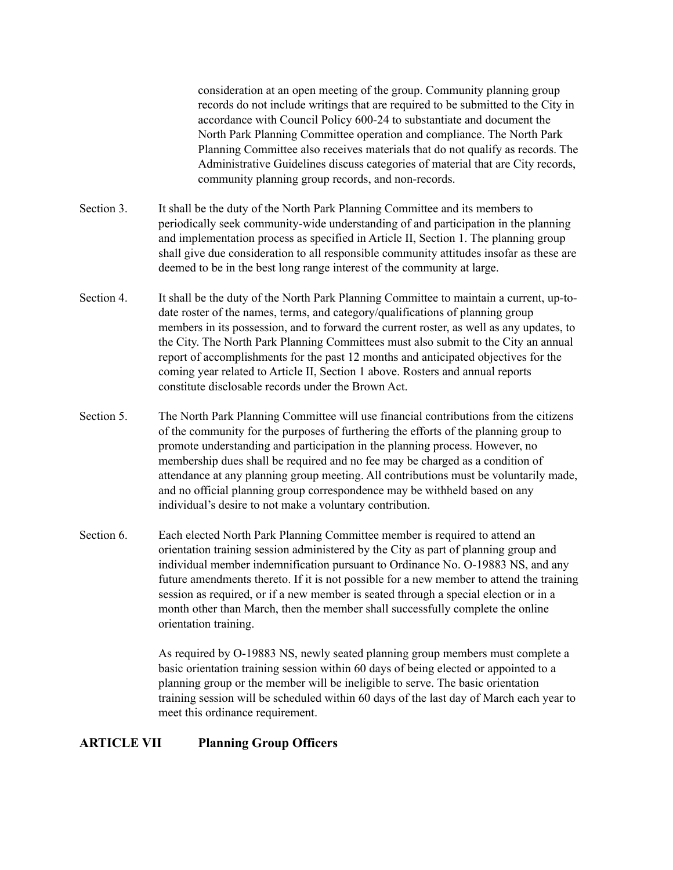consideration at an open meeting of the group. Community planning group records do not include writings that are required to be submitted to the City in accordance with Council Policy 600-24 to substantiate and document the North Park Planning Committee operation and compliance. The North Park Planning Committee also receives materials that do not qualify as records. The Administrative Guidelines discuss categories of material that are City records, community planning group records, and non-records.

- Section 3. It shall be the duty of the North Park Planning Committee and its members to periodically seek community-wide understanding of and participation in the planning and implementation process as specified in Article II, Section 1. The planning group shall give due consideration to all responsible community attitudes insofar as these are deemed to be in the best long range interest of the community at large.
- Section 4. It shall be the duty of the North Park Planning Committee to maintain a current, up-todate roster of the names, terms, and category/qualifications of planning group members in its possession, and to forward the current roster, as well as any updates, to the City. The North Park Planning Committees must also submit to the City an annual report of accomplishments for the past 12 months and anticipated objectives for the coming year related to Article II, Section 1 above. Rosters and annual reports constitute disclosable records under the Brown Act.
- Section 5. The North Park Planning Committee will use financial contributions from the citizens of the community for the purposes of furthering the efforts of the planning group to promote understanding and participation in the planning process. However, no membership dues shall be required and no fee may be charged as a condition of attendance at any planning group meeting. All contributions must be voluntarily made, and no official planning group correspondence may be withheld based on any individual's desire to not make a voluntary contribution.
- Section 6. Each elected North Park Planning Committee member is required to attend an orientation training session administered by the City as part of planning group and individual member indemnification pursuant to Ordinance No. O-19883 NS, and any future amendments thereto. If it is not possible for a new member to attend the training session as required, or if a new member is seated through a special election or in a month other than March, then the member shall successfully complete the online orientation training.

As required by O-19883 NS, newly seated planning group members must complete a basic orientation training session within 60 days of being elected or appointed to a planning group or the member will be ineligible to serve. The basic orientation training session will be scheduled within 60 days of the last day of March each year to meet this ordinance requirement.

# **ARTICLE VII Planning Group Officers**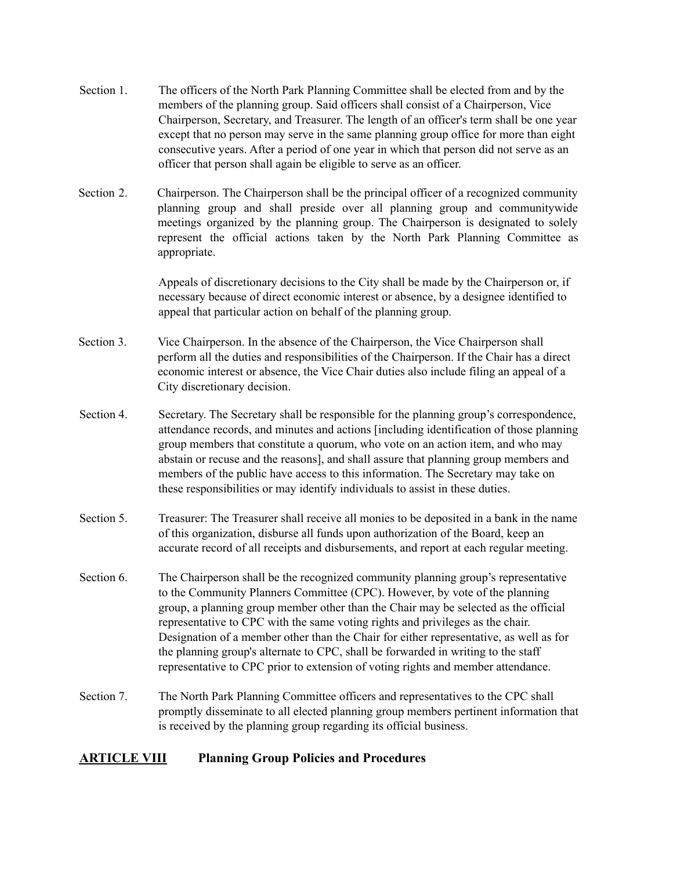- Section 1. The officers of the North Park Planning Committee shall be elected from and by the members of the planning group. Said officers shall consist of a Chairperson, Vice Chairperson, Secretary, and Treasurer. The length of an officer's term shall be one year except that no person may serve in the same planning group office for more than eight consecutive years. After a period of one year in which that person did not serve as an officer that person shall again be eligible to serve as an officer.
- Section 2. Chairperson. The Chairperson shall be the principal officer of a recognized community planning group and shall preside over all planning group and communitywide meetings organized by the planning group. The Chairperson is designated to solely represent the official actions taken by the North Park Planning Committee as appropriate.

Appeals of discretionary decisions to the City shall be made by the Chairperson or, if necessary because of direct economic interest or absence, by a designee identified to appeal that particular action on behalf of the planning group.

- Section 3. Vice Chairperson. In the absence of the Chairperson, the Vice Chairperson shall perform all the duties and responsibilities of the Chairperson. If the Chair has a direct economic interest or absence, the Vice Chair duties also include filing an appeal of a City discretionary decision.
- Section 4. Secretary. The Secretary shall be responsible for the planning group's correspondence, attendance records, and minutes and actions [including identification of those planning group members that constitute a quorum, who vote on an action item, and who may abstain or recuse and the reasons], and shall assure that planning group members and members of the public have access to this information. The Secretary may take on these responsibilities or may identify individuals to assist in these duties.
- Section 5. Treasurer: The Treasurer shall receive all monies to be deposited in a bank in the name of this organization, disburse all funds upon authorization of the Board, keep an accurate record of all receipts and disbursements, and report at each regular meeting.
- Section 6. The Chairperson shall be the recognized community planning group's representative to the Community Planners Committee (CPC). However, by vote of the planning group, a planning group member other than the Chair may be selected as the official representative to CPC with the same voting rights and privileges as the chair. Designation of a member other than the Chair for either representative, as well as for the planning group's alternate to CPC, shall be forwarded in writing to the staff representative to CPC prior to extension of voting rights and member attendance.
- Section 7. The North Park Planning Committee officers and representatives to the CPC shall promptly disseminate to all elected planning group members pertinent information that is received by the planning group regarding its official business.

# **ARTICLE VIII Planning Group Policies and Procedures**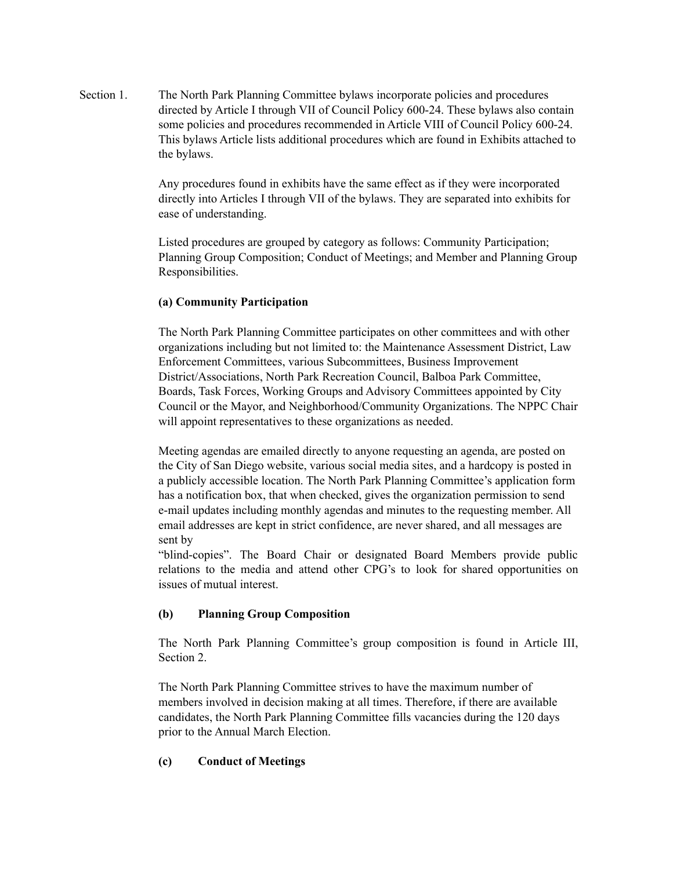Section 1. The North Park Planning Committee bylaws incorporate policies and procedures directed by Article I through VII of Council Policy 600-24. These bylaws also contain some policies and procedures recommended in Article VIII of Council Policy 600-24. This bylaws Article lists additional procedures which are found in Exhibits attached to the bylaws.

> Any procedures found in exhibits have the same effect as if they were incorporated directly into Articles I through VII of the bylaws. They are separated into exhibits for ease of understanding.

Listed procedures are grouped by category as follows: Community Participation; Planning Group Composition; Conduct of Meetings; and Member and Planning Group Responsibilities.

#### **(a) Community Participation**

The North Park Planning Committee participates on other committees and with other organizations including but not limited to: the Maintenance Assessment District, Law Enforcement Committees, various Subcommittees, Business Improvement District/Associations, North Park Recreation Council, Balboa Park Committee, Boards, Task Forces, Working Groups and Advisory Committees appointed by City Council or the Mayor, and Neighborhood/Community Organizations. The NPPC Chair will appoint representatives to these organizations as needed.

Meeting agendas are emailed directly to anyone requesting an agenda, are posted on the City of San Diego website, various social media sites, and a hardcopy is posted in a publicly accessible location. The North Park Planning Committee's application form has a notification box, that when checked, gives the organization permission to send e-mail updates including monthly agendas and minutes to the requesting member. All email addresses are kept in strict confidence, are never shared, and all messages are sent by

"blind-copies". The Board Chair or designated Board Members provide public relations to the media and attend other CPG's to look for shared opportunities on issues of mutual interest.

# **(b) Planning Group Composition**

The North Park Planning Committee's group composition is found in Article III, Section 2.

The North Park Planning Committee strives to have the maximum number of members involved in decision making at all times. Therefore, if there are available candidates, the North Park Planning Committee fills vacancies during the 120 days prior to the Annual March Election.

# **(c) Conduct of Meetings**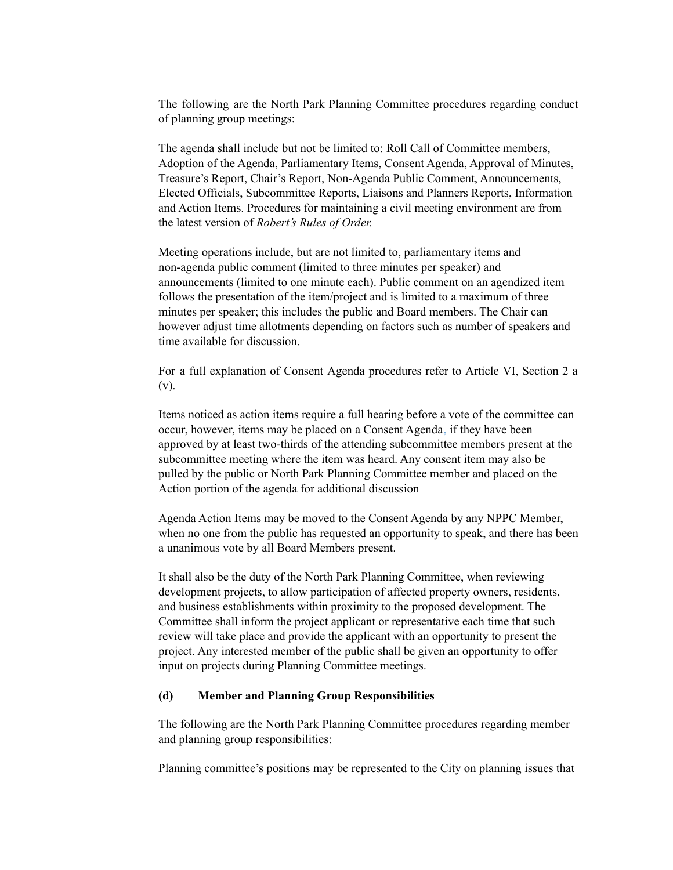The following are the North Park Planning Committee procedures regarding conduct of planning group meetings:

The agenda shall include but not be limited to: Roll Call of Committee members, Adoption of the Agenda, Parliamentary Items, Consent Agenda, Approval of Minutes, Treasure's Report, Chair's Report, Non-Agenda Public Comment, Announcements, Elected Officials, Subcommittee Reports, Liaisons and Planners Reports, Information and Action Items. Procedures for maintaining a civil meeting environment are from the latest version of *Robert's Rules of Order.*

Meeting operations include, but are not limited to, parliamentary items and non-agenda public comment (limited to three minutes per speaker) and announcements (limited to one minute each). Public comment on an agendized item follows the presentation of the item/project and is limited to a maximum of three minutes per speaker; this includes the public and Board members. The Chair can however adjust time allotments depending on factors such as number of speakers and time available for discussion.

For a full explanation of Consent Agenda procedures refer to Article VI, Section 2 a (v).

Items noticed as action items require a full hearing before a vote of the committee can occur, however, items may be placed on a Consent Agenda, if they have been approved by at least two-thirds of the attending subcommittee members present at the subcommittee meeting where the item was heard. Any consent item may also be pulled by the public or North Park Planning Committee member and placed on the Action portion of the agenda for additional discussion

Agenda Action Items may be moved to the Consent Agenda by any NPPC Member, when no one from the public has requested an opportunity to speak, and there has been a unanimous vote by all Board Members present.

It shall also be the duty of the North Park Planning Committee, when reviewing development projects, to allow participation of affected property owners, residents, and business establishments within proximity to the proposed development. The Committee shall inform the project applicant or representative each time that such review will take place and provide the applicant with an opportunity to present the project. Any interested member of the public shall be given an opportunity to offer input on projects during Planning Committee meetings.

#### **(d) Member and Planning Group Responsibilities**

The following are the North Park Planning Committee procedures regarding member and planning group responsibilities:

Planning committee's positions may be represented to the City on planning issues that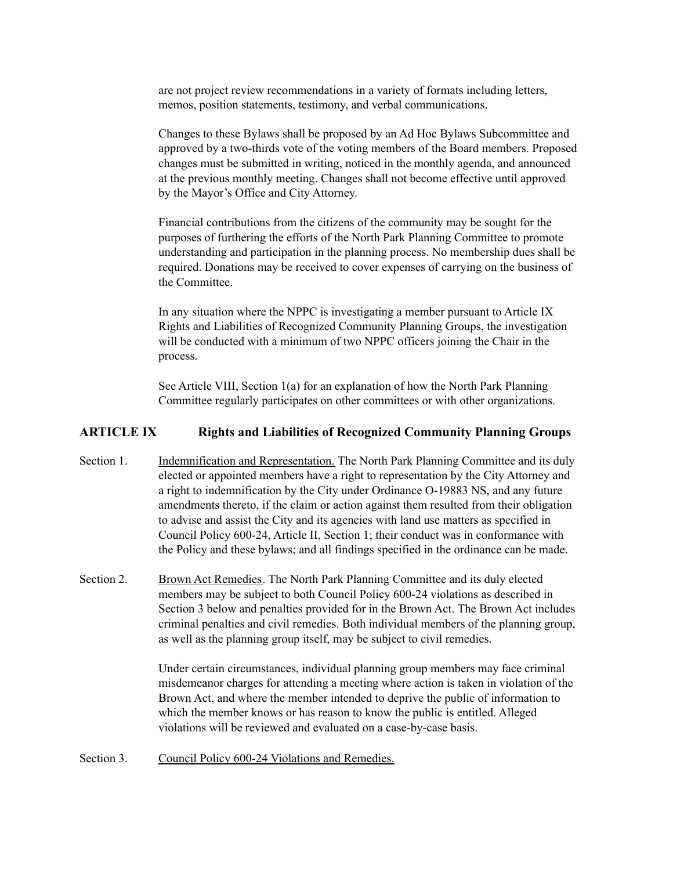are not project review recommendations in a variety of formats including letters, memos, position statements, testimony, and verbal communications.

Changes to these Bylaws shall be proposed by an Ad Hoc Bylaws Subcommittee and approved by a two-thirds vote of the voting members of the Board members. Proposed changes must be submitted in writing, noticed in the monthly agenda, and announced at the previous monthly meeting. Changes shall not become effective until approved by the Mayor's Office and City Attorney.

Financial contributions from the citizens of the community may be sought for the purposes of furthering the efforts of the North Park Planning Committee to promote understanding and participation in the planning process. No membership dues shall be required. Donations may be received to cover expenses of carrying on the business of the Committee.

In any situation where the NPPC is investigating a member pursuant to Article IX Rights and Liabilities of Recognized Community Planning Groups, the investigation will be conducted with a minimum of two NPPC officers joining the Chair in the process.

See Article VIII, Section 1(a) for an explanation of how the North Park Planning Committee regularly participates on other committees or with other organizations.

# **ARTICLE IX Rights and Liabilities of Recognized Community Planning Groups**

- Section 1. Indemnification and Representation. The North Park Planning Committee and its duly elected or appointed members have a right to representation by the City Attorney and a right to indemnification by the City under Ordinance O-19883 NS, and any future amendments thereto, if the claim or action against them resulted from their obligation to advise and assist the City and its agencies with land use matters as specified in Council Policy 600-24, Article II, Section 1; their conduct was in conformance with the Policy and these bylaws; and all findings specified in the ordinance can be made.
- Section 2. Brown Act Remedies. The North Park Planning Committee and its duly elected members may be subject to both Council Policy 600-24 violations as described in Section 3 below and penalties provided for in the Brown Act. The Brown Act includes criminal penalties and civil remedies. Both individual members of the planning group, as well as the planning group itself, may be subject to civil remedies.

Under certain circumstances, individual planning group members may face criminal misdemeanor charges for attending a meeting where action is taken in violation of the Brown Act, and where the member intended to deprive the public of information to which the member knows or has reason to know the public is entitled. Alleged violations will be reviewed and evaluated on a case-by-case basis.

Section 3. Council Policy 600-24 Violations and Remedies.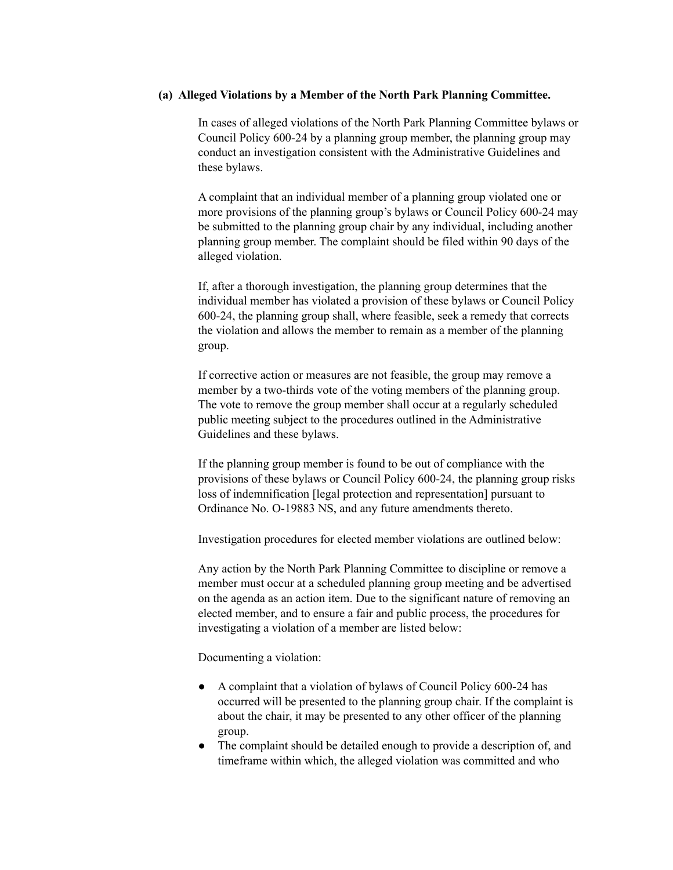#### **(a) Alleged Violations by a Member of the North Park Planning Committee.**

In cases of alleged violations of the North Park Planning Committee bylaws or Council Policy 600-24 by a planning group member, the planning group may conduct an investigation consistent with the Administrative Guidelines and these bylaws.

A complaint that an individual member of a planning group violated one or more provisions of the planning group's bylaws or Council Policy 600-24 may be submitted to the planning group chair by any individual, including another planning group member. The complaint should be filed within 90 days of the alleged violation.

If, after a thorough investigation, the planning group determines that the individual member has violated a provision of these bylaws or Council Policy 600-24, the planning group shall, where feasible, seek a remedy that corrects the violation and allows the member to remain as a member of the planning group.

If corrective action or measures are not feasible, the group may remove a member by a two-thirds vote of the voting members of the planning group. The vote to remove the group member shall occur at a regularly scheduled public meeting subject to the procedures outlined in the Administrative Guidelines and these bylaws.

If the planning group member is found to be out of compliance with the provisions of these bylaws or Council Policy 600-24, the planning group risks loss of indemnification [legal protection and representation] pursuant to Ordinance No. O-19883 NS, and any future amendments thereto.

Investigation procedures for elected member violations are outlined below:

Any action by the North Park Planning Committee to discipline or remove a member must occur at a scheduled planning group meeting and be advertised on the agenda as an action item. Due to the significant nature of removing an elected member, and to ensure a fair and public process, the procedures for investigating a violation of a member are listed below:

Documenting a violation:

- A complaint that a violation of bylaws of Council Policy 600-24 has occurred will be presented to the planning group chair. If the complaint is about the chair, it may be presented to any other officer of the planning group.
- The complaint should be detailed enough to provide a description of, and timeframe within which, the alleged violation was committed and who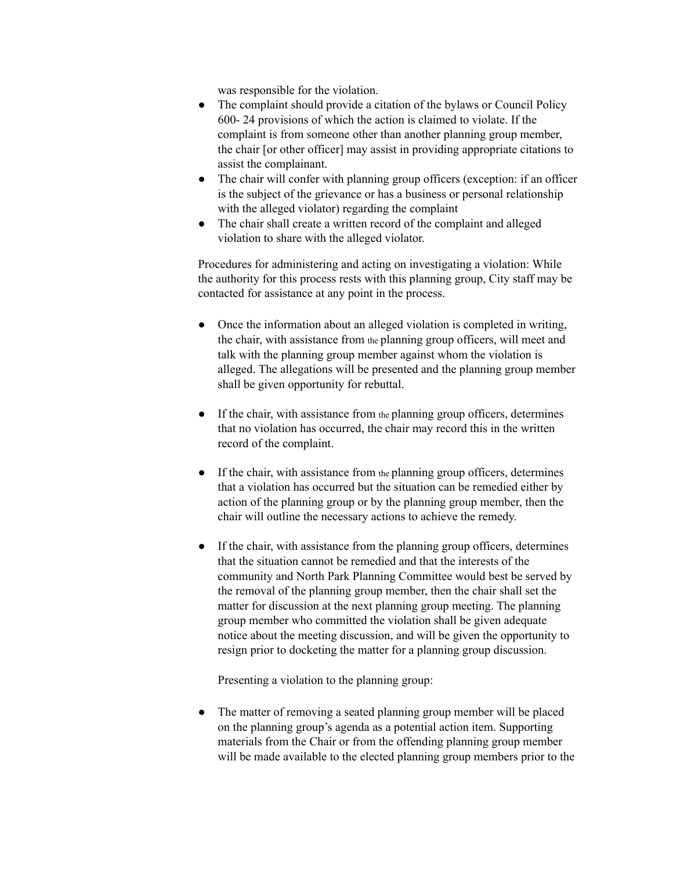was responsible for the violation.

- The complaint should provide a citation of the bylaws or Council Policy 600- 24 provisions of which the action is claimed to violate. If the complaint is from someone other than another planning group member, the chair [or other officer] may assist in providing appropriate citations to assist the complainant.
- The chair will confer with planning group officers (exception: if an officer is the subject of the grievance or has a business or personal relationship with the alleged violator) regarding the complaint
- The chair shall create a written record of the complaint and alleged violation to share with the alleged violator.

Procedures for administering and acting on investigating a violation: While the authority for this process rests with this planning group, City staff may be contacted for assistance at any point in the process.

- Once the information about an alleged violation is completed in writing, the chair, with assistance from the planning group officers, will meet and talk with the planning group member against whom the violation is alleged. The allegations will be presented and the planning group member shall be given opportunity for rebuttal.
- If the chair, with assistance from the planning group officers, determines that no violation has occurred, the chair may record this in the written record of the complaint.
- If the chair, with assistance from the planning group officers, determines that a violation has occurred but the situation can be remedied either by action of the planning group or by the planning group member, then the chair will outline the necessary actions to achieve the remedy.
- If the chair, with assistance from the planning group officers, determines that the situation cannot be remedied and that the interests of the community and North Park Planning Committee would best be served by the removal of the planning group member, then the chair shall set the matter for discussion at the next planning group meeting. The planning group member who committed the violation shall be given adequate notice about the meeting discussion, and will be given the opportunity to resign prior to docketing the matter for a planning group discussion.

Presenting a violation to the planning group:

• The matter of removing a seated planning group member will be placed on the planning group's agenda as a potential action item. Supporting materials from the Chair or from the offending planning group member will be made available to the elected planning group members prior to the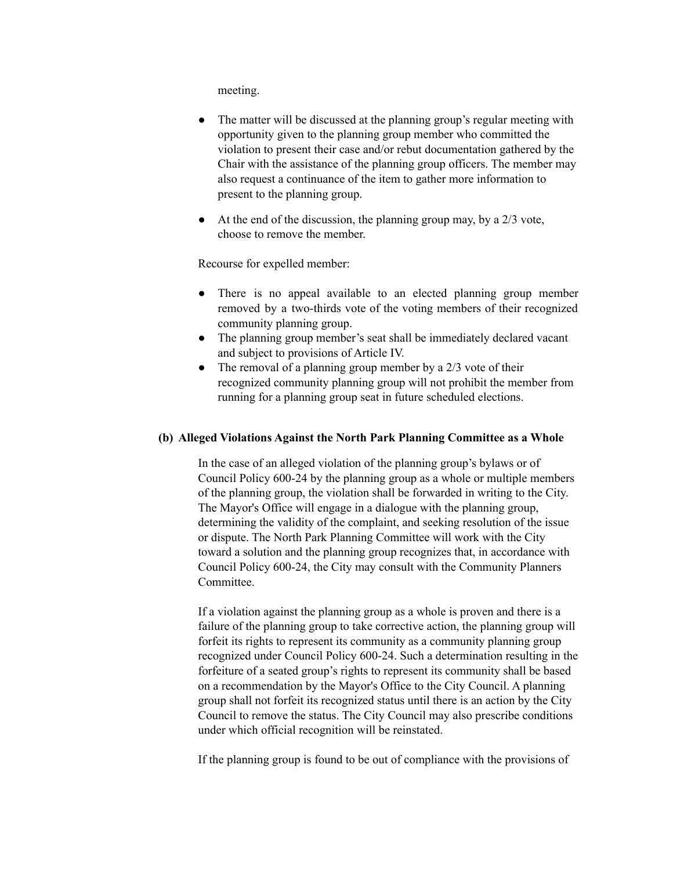meeting.

- The matter will be discussed at the planning group's regular meeting with opportunity given to the planning group member who committed the violation to present their case and/or rebut documentation gathered by the Chair with the assistance of the planning group officers. The member may also request a continuance of the item to gather more information to present to the planning group.
- $\bullet$  At the end of the discussion, the planning group may, by a 2/3 vote, choose to remove the member.

Recourse for expelled member:

- There is no appeal available to an elected planning group member removed by a two-thirds vote of the voting members of their recognized community planning group.
- The planning group member's seat shall be immediately declared vacant and subject to provisions of Article IV.
- The removal of a planning group member by a  $2/3$  vote of their recognized community planning group will not prohibit the member from running for a planning group seat in future scheduled elections.

#### **(b) Alleged Violations Against the North Park Planning Committee as a Whole**

In the case of an alleged violation of the planning group's bylaws or of Council Policy 600-24 by the planning group as a whole or multiple members of the planning group, the violation shall be forwarded in writing to the City. The Mayor's Office will engage in a dialogue with the planning group, determining the validity of the complaint, and seeking resolution of the issue or dispute. The North Park Planning Committee will work with the City toward a solution and the planning group recognizes that, in accordance with Council Policy 600-24, the City may consult with the Community Planners Committee.

If a violation against the planning group as a whole is proven and there is a failure of the planning group to take corrective action, the planning group will forfeit its rights to represent its community as a community planning group recognized under Council Policy 600-24. Such a determination resulting in the forfeiture of a seated group's rights to represent its community shall be based on a recommendation by the Mayor's Office to the City Council. A planning group shall not forfeit its recognized status until there is an action by the City Council to remove the status. The City Council may also prescribe conditions under which official recognition will be reinstated.

If the planning group is found to be out of compliance with the provisions of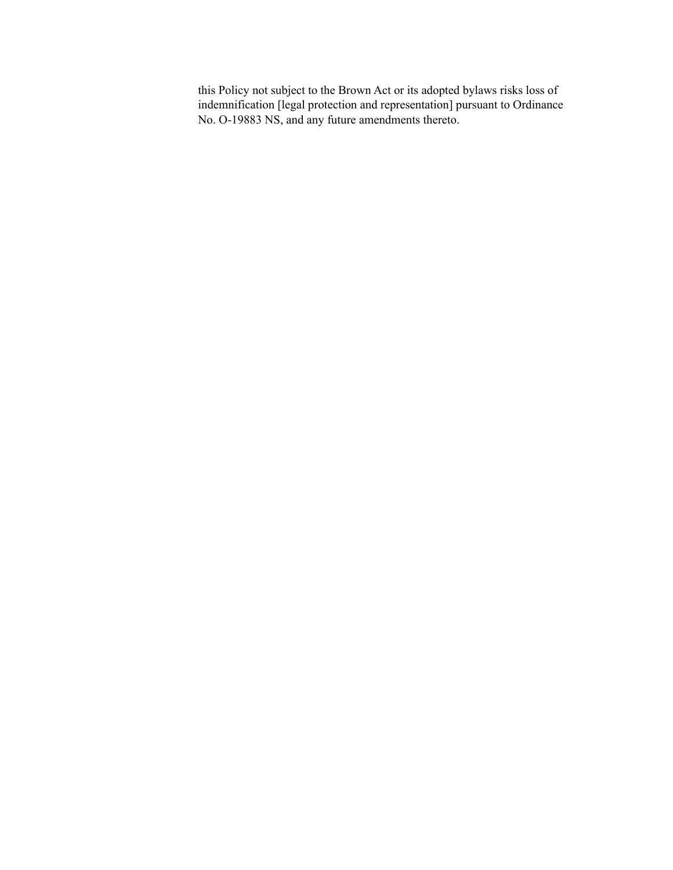this Policy not subject to the Brown Act or its adopted bylaws risks loss of indemnification [legal protection and representation] pursuant to Ordinance No. O-19883 NS, and any future amendments thereto.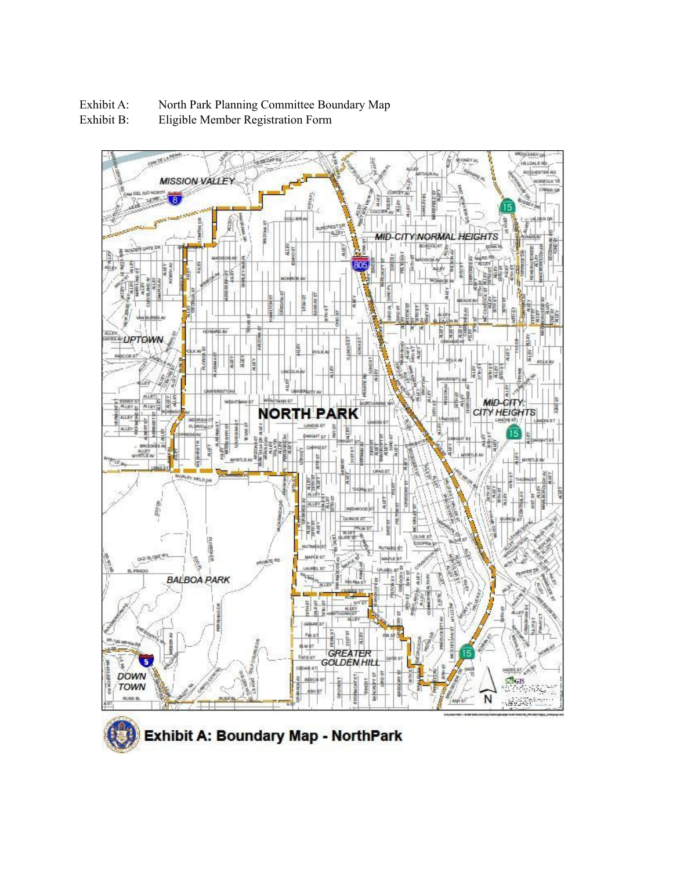

Eligible Member Registration Form



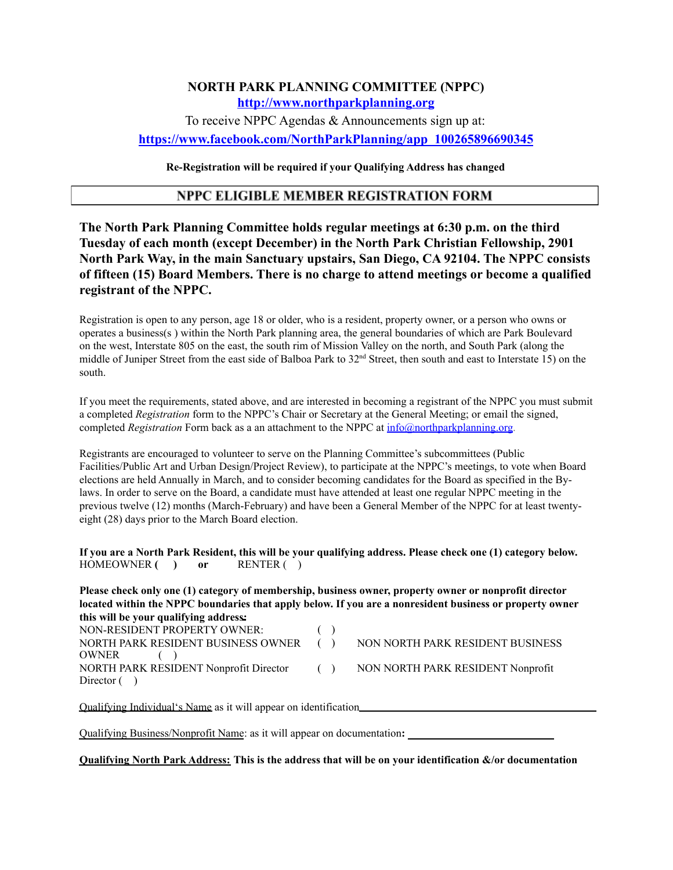# **NORTH PARK PLANNING COMMITTEE (NPPC) http://www.northparkplanning.org**

To receive NPPC Agendas & Announcements sign up at: **https://www.facebook.com/NorthParkPlanning/app\_100265896690345**

**Re-Registration will be required if your Qualifying Address has changed**

### **NPPC ELIGIBLE MEMBER REGISTRATION FORM**

**The North Park Planning Committee holds regular meetings at 6:30 p.m. on the third Tuesday of each month (except December) in the North Park Christian Fellowship, 2901 North Park Way, in the main Sanctuary upstairs, San Diego, CA 92104. The NPPC consists of fifteen (15) Board Members. There is no charge to attend meetings or become a qualified registrant of the NPPC.**

Registration is open to any person, age 18 or older, who is a resident, property owner, or a person who owns or operates a business(s ) within the North Park planning area, the general boundaries of which are Park Boulevard on the west, Interstate 805 on the east, the south rim of Mission Valley on the north, and South Park (along the middle of Juniper Street from the east side of Balboa Park to 32<sup>nd</sup> Street, then south and east to Interstate 15) on the south.

If you meet the requirements, stated above, and are interested in becoming a registrant of the NPPC you must submit a completed *Registration* form to the NPPC's Chair or Secretary at the General Meeting; or email the signed, completed *Registration* Form back as a an attachment to the NPPC at info@northparkplanning.org.

Registrants are encouraged to volunteer to serve on the Planning Committee's subcommittees (Public Facilities/Public Art and Urban Design/Project Review), to participate at the NPPC's meetings, to vote when Board elections are held Annually in March, and to consider becoming candidates for the Board as specified in the Bylaws. In order to serve on the Board, a candidate must have attended at least one regular NPPC meeting in the previous twelve (12) months (March-February) and have been a General Member of the NPPC for at least twentyeight (28) days prior to the March Board election.

If you are a North Park Resident, this will be your qualifying address. Please check one (1) category below. HOMEOWNER **( ) or** RENTER ( )

**Please check only one (1) category of membership, business owner, property owner or nonprofit director located within the NPPC boundaries that apply below. If you are a nonresident business or property owner this will be your qualifying address:** NON-RESIDENT PROPERTY OWNER: NORTH PARK RESIDENT BUSINESS OWNER ( ) ( ) NON NORTH PARK RESIDENT BUSINESS OWNER ( ) NORTH PARK RESIDENT Nonprofit Director ( ) NON NORTH PARK RESIDENT Nonprofit Director  $($ )

Qualifying Individual's Name as it will appear on identification

Qualifying Business/Nonprofit Name: as it will appear on documentation**:**

**Qualifying North Park Address: This is the address that will be on your identification &/or documentation**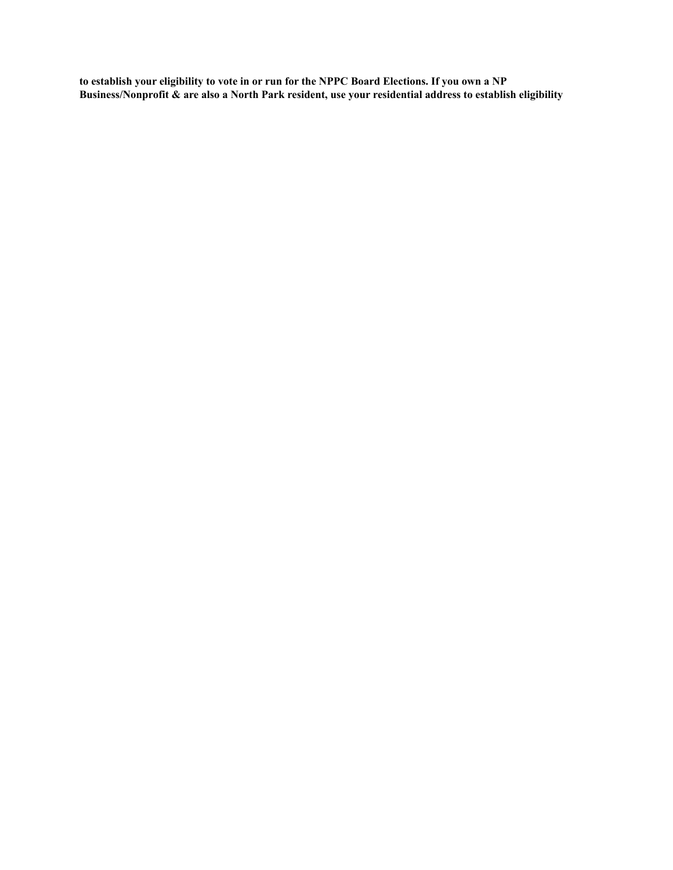to establish your eligibility to vote in or run for the NPPC Board Elections. If you own a NP **Business/Nonprofit & are also a North Park resident, use your residential address to establish eligibility**